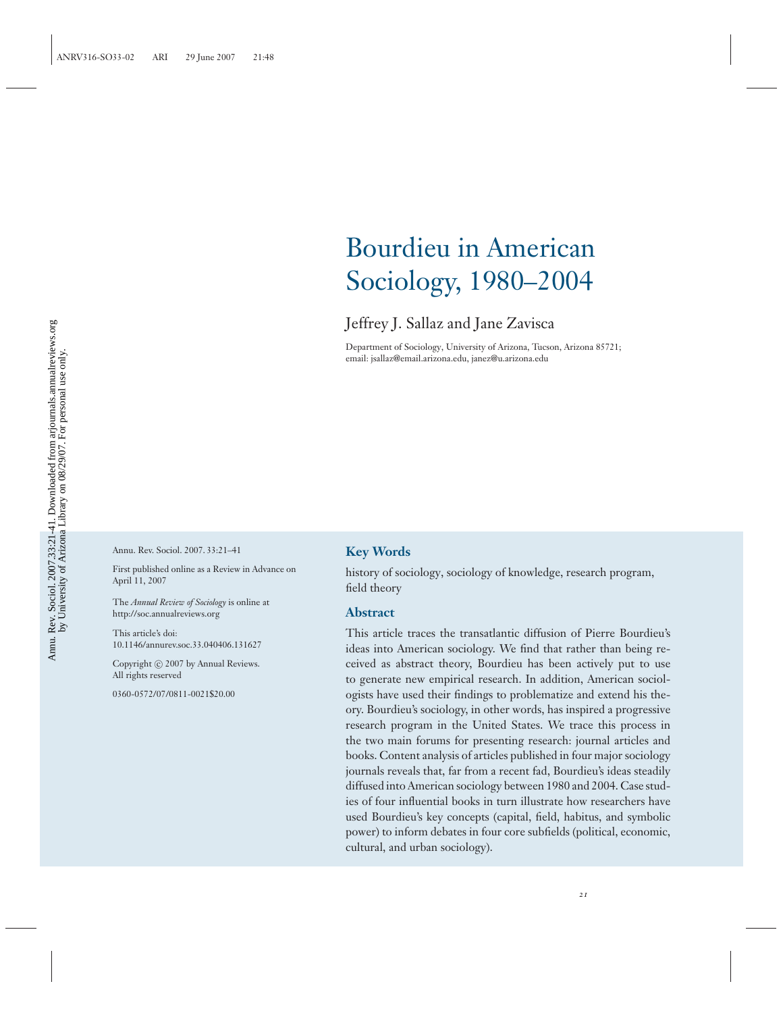# Bourdieu in American Sociology, 1980–2004

Jeffrey J. Sallaz and Jane Zavisca

Department of Sociology, University of Arizona, Tucson, Arizona 85721; email: jsallaz@email.arizona.edu, janez@u.arizona.edu

Annu. Rev. Sociol. 2007. 33:21–41

First published online as a Review in Advance on April 11, 2007

The *Annual Review of Sociology* is online at http://soc.annualreviews.org

This article's doi: 10.1146/annurev.soc.33.040406.131627

Copyright © 2007 by Annual Reviews. All rights reserved

0360-0572/07/0811-0021\$20.00

#### **Key Words**

history of sociology, sociology of knowledge, research program, field theory

#### **Abstract**

This article traces the transatlantic diffusion of Pierre Bourdieu's ideas into American sociology. We find that rather than being received as abstract theory, Bourdieu has been actively put to use to generate new empirical research. In addition, American sociologists have used their findings to problematize and extend his theory. Bourdieu's sociology, in other words, has inspired a progressive research program in the United States. We trace this process in the two main forums for presenting research: journal articles and books. Content analysis of articles published in four major sociology journals reveals that, far from a recent fad, Bourdieu's ideas steadily diffused into American sociology between 1980 and 2004. Case studies of four influential books in turn illustrate how researchers have used Bourdieu's key concepts (capital, field, habitus, and symbolic power) to inform debates in four core subfields (political, economic, cultural, and urban sociology).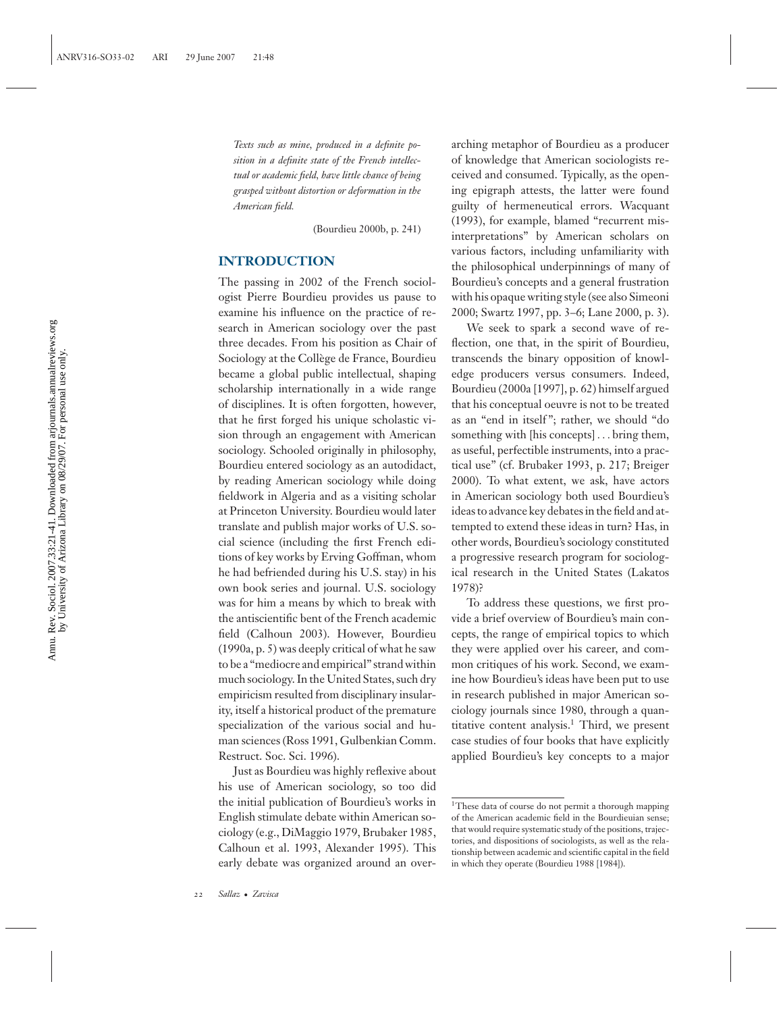*Texts such as mine, produced in a definite position in a definite state of the French intellectual or academic field, have little chance of being grasped without distortion or deformation in the American field.*

(Bourdieu 2000b, p. 241)

#### **INTRODUCTION**

The passing in 2002 of the French sociologist Pierre Bourdieu provides us pause to examine his influence on the practice of research in American sociology over the past three decades. From his position as Chair of Sociology at the Collège de France, Bourdieu became a global public intellectual, shaping scholarship internationally in a wide range of disciplines. It is often forgotten, however, that he first forged his unique scholastic vision through an engagement with American sociology. Schooled originally in philosophy, Bourdieu entered sociology as an autodidact, by reading American sociology while doing fieldwork in Algeria and as a visiting scholar at Princeton University. Bourdieu would later translate and publish major works of U.S. social science (including the first French editions of key works by Erving Goffman, whom he had befriended during his U.S. stay) in his own book series and journal. U.S. sociology was for him a means by which to break with the antiscientific bent of the French academic field (Calhoun 2003). However, Bourdieu (1990a, p. 5) was deeply critical of what he saw to be a "mediocre and empirical" strand within much sociology. In the United States, such dry empiricism resulted from disciplinary insularity, itself a historical product of the premature specialization of the various social and human sciences (Ross 1991, Gulbenkian Comm. Restruct. Soc. Sci. 1996).

Just as Bourdieu was highly reflexive about his use of American sociology, so too did the initial publication of Bourdieu's works in English stimulate debate within American sociology (e.g., DiMaggio 1979, Brubaker 1985, Calhoun et al. 1993, Alexander 1995). This early debate was organized around an overarching metaphor of Bourdieu as a producer of knowledge that American sociologists received and consumed. Typically, as the opening epigraph attests, the latter were found guilty of hermeneutical errors. Wacquant (1993), for example, blamed "recurrent misinterpretations" by American scholars on various factors, including unfamiliarity with the philosophical underpinnings of many of Bourdieu's concepts and a general frustration with his opaque writing style (see also Simeoni 2000; Swartz 1997, pp. 3–6; Lane 2000, p. 3).

We seek to spark a second wave of reflection, one that, in the spirit of Bourdieu, transcends the binary opposition of knowledge producers versus consumers. Indeed, Bourdieu (2000a [1997], p. 62) himself argued that his conceptual oeuvre is not to be treated as an "end in itself "; rather, we should "do something with [his concepts] ... bring them, as useful, perfectible instruments, into a practical use" (cf. Brubaker 1993, p. 217; Breiger 2000). To what extent, we ask, have actors in American sociology both used Bourdieu's ideas to advance key debates in the field and attempted to extend these ideas in turn? Has, in other words, Bourdieu's sociology constituted a progressive research program for sociological research in the United States (Lakatos 1978)?

To address these questions, we first provide a brief overview of Bourdieu's main concepts, the range of empirical topics to which they were applied over his career, and common critiques of his work. Second, we examine how Bourdieu's ideas have been put to use in research published in major American sociology journals since 1980, through a quantitative content analysis.<sup>1</sup> Third, we present case studies of four books that have explicitly applied Bourdieu's key concepts to a major

<sup>&</sup>lt;sup>1</sup>These data of course do not permit a thorough mapping of the American academic field in the Bourdieuian sense; that would require systematic study of the positions, trajectories, and dispositions of sociologists, as well as the relationship between academic and scientific capital in the field in which they operate (Bourdieu 1988 [1984]).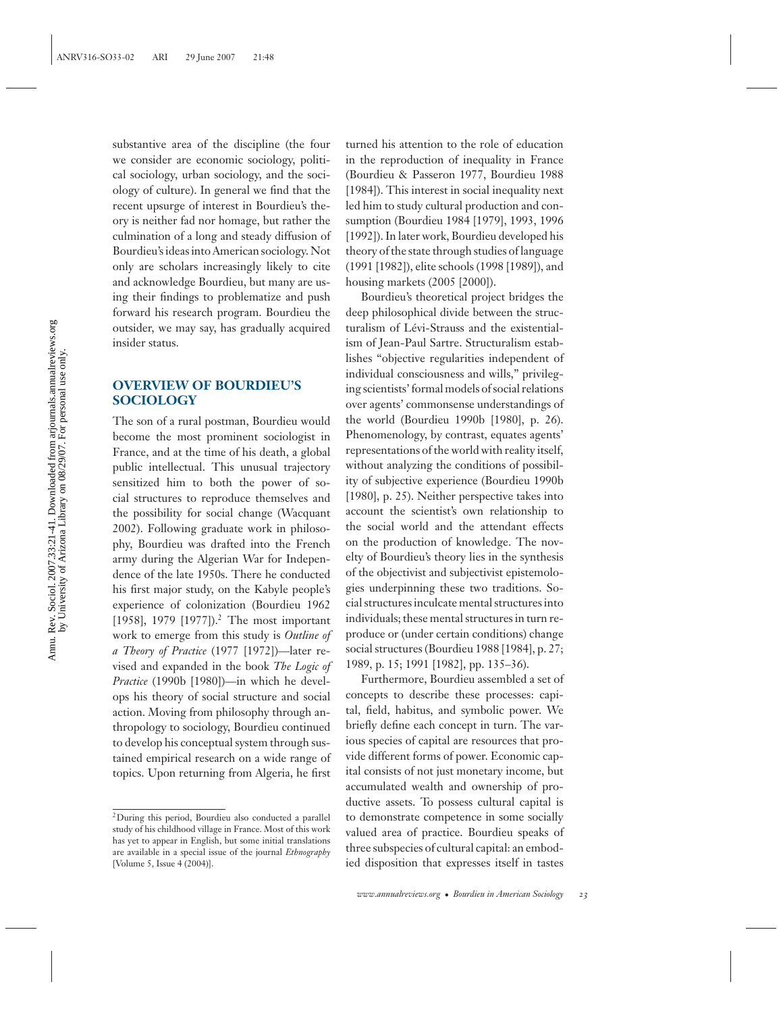substantive area of the discipline (the four we consider are economic sociology, political sociology, urban sociology, and the sociology of culture). In general we find that the recent upsurge of interest in Bourdieu's theory is neither fad nor homage, but rather the culmination of a long and steady diffusion of Bourdieu's ideas into American sociology. Not only are scholars increasingly likely to cite and acknowledge Bourdieu, but many are using their findings to problematize and push forward his research program. Bourdieu the outsider, we may say, has gradually acquired insider status.

### **OVERVIEW OF BOURDIEU'S SOCIOLOGY**

The son of a rural postman, Bourdieu would become the most prominent sociologist in France, and at the time of his death, a global public intellectual. This unusual trajectory sensitized him to both the power of social structures to reproduce themselves and the possibility for social change (Wacquant 2002). Following graduate work in philosophy, Bourdieu was drafted into the French army during the Algerian War for Independence of the late 1950s. There he conducted his first major study, on the Kabyle people's experience of colonization (Bourdieu 1962 [1958], 1979 [1977]).<sup>2</sup> The most important work to emerge from this study is *Outline of a Theory of Practice* (1977 [1972])—later revised and expanded in the book *The Logic of Practice* (1990b [1980])—in which he develops his theory of social structure and social action. Moving from philosophy through anthropology to sociology, Bourdieu continued to develop his conceptual system through sustained empirical research on a wide range of topics. Upon returning from Algeria, he first

turned his attention to the role of education in the reproduction of inequality in France (Bourdieu & Passeron 1977, Bourdieu 1988 [1984]). This interest in social inequality next led him to study cultural production and consumption (Bourdieu 1984 [1979], 1993, 1996 [1992]). In later work, Bourdieu developed his theory of the state through studies of language (1991 [1982]), elite schools (1998 [1989]), and housing markets (2005 [2000]).

Bourdieu's theoretical project bridges the deep philosophical divide between the structuralism of Lévi-Strauss and the existentialism of Jean-Paul Sartre. Structuralism establishes "objective regularities independent of individual consciousness and wills," privileging scientists' formal models of social relations over agents' commonsense understandings of the world (Bourdieu 1990b [1980], p. 26). Phenomenology, by contrast, equates agents' representations of the world with reality itself, without analyzing the conditions of possibility of subjective experience (Bourdieu 1990b [1980], p. 25). Neither perspective takes into account the scientist's own relationship to the social world and the attendant effects on the production of knowledge. The novelty of Bourdieu's theory lies in the synthesis of the objectivist and subjectivist epistemologies underpinning these two traditions. Social structures inculcate mental structures into individuals; these mental structures in turn reproduce or (under certain conditions) change social structures (Bourdieu 1988 [1984], p. 27; 1989, p. 15; 1991 [1982], pp. 135–36).

Furthermore, Bourdieu assembled a set of concepts to describe these processes: capital, field, habitus, and symbolic power. We briefly define each concept in turn. The various species of capital are resources that provide different forms of power. Economic capital consists of not just monetary income, but accumulated wealth and ownership of productive assets. To possess cultural capital is to demonstrate competence in some socially valued area of practice. Bourdieu speaks of three subspecies of cultural capital: an embodied disposition that expresses itself in tastes

<sup>2</sup>During this period, Bourdieu also conducted a parallel study of his childhood village in France. Most of this work has yet to appear in English, but some initial translations are available in a special issue of the journal *Ethnography* [Volume 5, Issue 4 (2004)].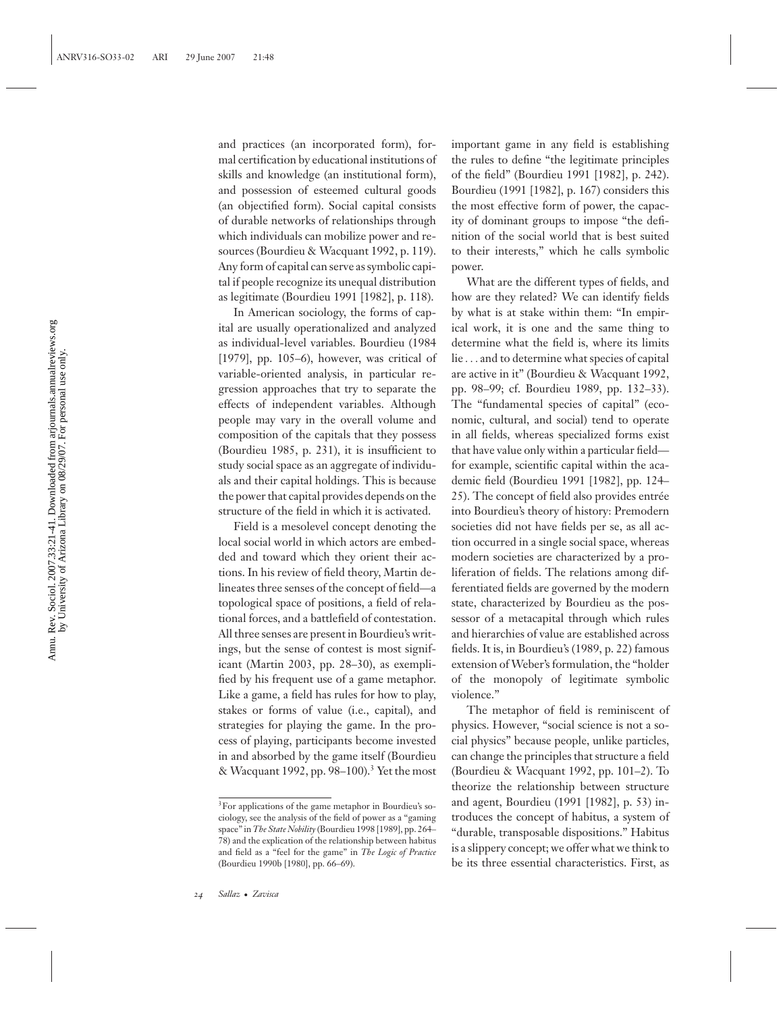*24 Sallaz* · *Zavisca*

and practices (an incorporated form), formal certification by educational institutions of skills and knowledge (an institutional form), and possession of esteemed cultural goods (an objectified form). Social capital consists of durable networks of relationships through which individuals can mobilize power and resources (Bourdieu & Wacquant 1992, p. 119). Any form of capital can serve as symbolic capital if people recognize its unequal distribution as legitimate (Bourdieu 1991 [1982], p. 118). In American sociology, the forms of cap-

ital are usually operationalized and analyzed as individual-level variables. Bourdieu (1984 [1979], pp. 105–6), however, was critical of variable-oriented analysis, in particular regression approaches that try to separate the effects of independent variables. Although people may vary in the overall volume and composition of the capitals that they possess (Bourdieu 1985, p. 231), it is insufficient to study social space as an aggregate of individuals and their capital holdings. This is because the power that capital provides depends on the structure of the field in which it is activated.

Field is a mesolevel concept denoting the local social world in which actors are embedded and toward which they orient their actions. In his review of field theory, Martin delineates three senses of the concept of field—a topological space of positions, a field of relational forces, and a battlefield of contestation. All three senses are present in Bourdieu's writings, but the sense of contest is most significant (Martin 2003, pp. 28–30), as exemplified by his frequent use of a game metaphor. Like a game, a field has rules for how to play, stakes or forms of value (i.e., capital), and strategies for playing the game. In the process of playing, participants become invested in and absorbed by the game itself (Bourdieu & Wacquant 1992, pp. 98-100).<sup>3</sup> Yet the most important game in any field is establishing the rules to define "the legitimate principles of the field" (Bourdieu 1991 [1982], p. 242). Bourdieu (1991 [1982], p. 167) considers this the most effective form of power, the capacity of dominant groups to impose "the definition of the social world that is best suited to their interests," which he calls symbolic power.

What are the different types of fields, and how are they related? We can identify fields by what is at stake within them: "In empirical work, it is one and the same thing to determine what the field is, where its limits lie ... and to determine what species of capital are active in it" (Bourdieu & Wacquant 1992, pp. 98–99; cf. Bourdieu 1989, pp. 132–33). The "fundamental species of capital" (economic, cultural, and social) tend to operate in all fields, whereas specialized forms exist that have value only within a particular field for example, scientific capital within the academic field (Bourdieu 1991 [1982], pp. 124– 25). The concept of field also provides entrée into Bourdieu's theory of history: Premodern societies did not have fields per se, as all action occurred in a single social space, whereas modern societies are characterized by a proliferation of fields. The relations among differentiated fields are governed by the modern state, characterized by Bourdieu as the possessor of a metacapital through which rules and hierarchies of value are established across fields. It is, in Bourdieu's (1989, p. 22) famous extension of Weber's formulation, the "holder of the monopoly of legitimate symbolic violence."

The metaphor of field is reminiscent of physics. However, "social science is not a social physics" because people, unlike particles, can change the principles that structure a field (Bourdieu & Wacquant 1992, pp. 101–2). To theorize the relationship between structure and agent, Bourdieu (1991 [1982], p. 53) introduces the concept of habitus, a system of "durable, transposable dispositions." Habitus is a slippery concept; we offer what we think to be its three essential characteristics. First, as

<sup>3</sup>For applications of the game metaphor in Bourdieu's sociology, see the analysis of the field of power as a "gaming space" in *The State Nobility* (Bourdieu 1998 [1989], pp. 264– 78) and the explication of the relationship between habitus and field as a "feel for the game" in *The Logic of Practice* (Bourdieu 1990b [1980], pp. 66–69).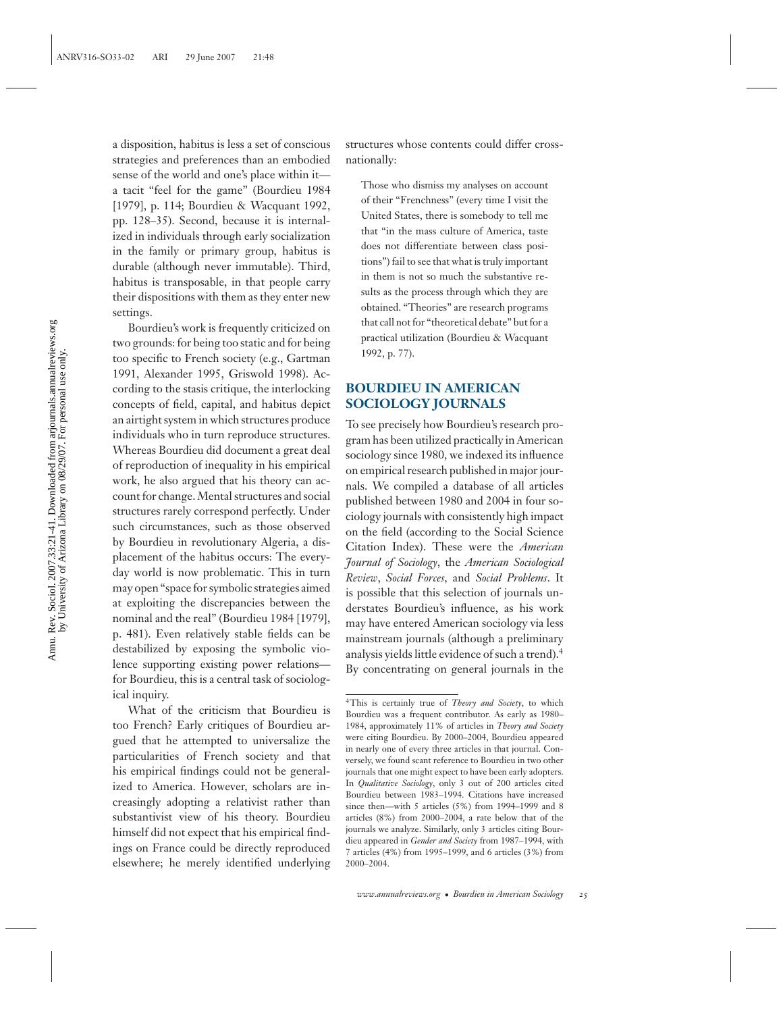a disposition, habitus is less a set of conscious strategies and preferences than an embodied sense of the world and one's place within it a tacit "feel for the game" (Bourdieu 1984 [1979], p. 114; Bourdieu & Wacquant 1992, pp. 128–35). Second, because it is internalized in individuals through early socialization in the family or primary group, habitus is durable (although never immutable). Third, habitus is transposable, in that people carry their dispositions with them as they enter new settings.

Bourdieu's work is frequently criticized on two grounds: for being too static and for being too specific to French society (e.g., Gartman 1991, Alexander 1995, Griswold 1998). According to the stasis critique, the interlocking concepts of field, capital, and habitus depict an airtight system in which structures produce individuals who in turn reproduce structures. Whereas Bourdieu did document a great deal of reproduction of inequality in his empirical work, he also argued that his theory can account for change. Mental structures and social structures rarely correspond perfectly. Under such circumstances, such as those observed by Bourdieu in revolutionary Algeria, a displacement of the habitus occurs: The everyday world is now problematic. This in turn may open "space for symbolic strategies aimed at exploiting the discrepancies between the nominal and the real" (Bourdieu 1984 [1979], p. 481). Even relatively stable fields can be destabilized by exposing the symbolic violence supporting existing power relations for Bourdieu, this is a central task of sociological inquiry.

What of the criticism that Bourdieu is too French? Early critiques of Bourdieu argued that he attempted to universalize the particularities of French society and that his empirical findings could not be generalized to America. However, scholars are increasingly adopting a relativist rather than substantivist view of his theory. Bourdieu himself did not expect that his empirical findings on France could be directly reproduced elsewhere; he merely identified underlying structures whose contents could differ crossnationally:

Those who dismiss my analyses on account of their "Frenchness" (every time I visit the United States, there is somebody to tell me that "in the mass culture of America, taste does not differentiate between class positions") fail to see that what is truly important in them is not so much the substantive results as the process through which they are obtained. "Theories" are research programs that call not for "theoretical debate" but for a practical utilization (Bourdieu & Wacquant 1992, p. 77).

### **BOURDIEU IN AMERICAN SOCIOLOGY JOURNALS**

To see precisely how Bourdieu's research program has been utilized practically in American sociology since 1980, we indexed its influence on empirical research published in major journals. We compiled a database of all articles published between 1980 and 2004 in four sociology journals with consistently high impact on the field (according to the Social Science Citation Index). These were the *American Journal of Sociology*, the *American Sociological Review*, *Social Forces*, and *Social Problems*. It is possible that this selection of journals understates Bourdieu's influence, as his work may have entered American sociology via less mainstream journals (although a preliminary analysis yields little evidence of such a trend).<sup>4</sup> By concentrating on general journals in the

<sup>4</sup>This is certainly true of *Theory and Society*, to which Bourdieu was a frequent contributor. As early as 1980– 1984, approximately 11% of articles in *Theory and Society* were citing Bourdieu. By 2000–2004, Bourdieu appeared in nearly one of every three articles in that journal. Conversely, we found scant reference to Bourdieu in two other journals that one might expect to have been early adopters. In *Qualitative Sociology*, only 3 out of 200 articles cited Bourdieu between 1983–1994. Citations have increased since then—with 5 articles (5%) from 1994–1999 and 8 articles (8%) from 2000–2004, a rate below that of the journals we analyze. Similarly, only 3 articles citing Bourdieu appeared in *Gender and Society* from 1987–1994, with 7 articles (4%) from 1995–1999, and 6 articles (3%) from 2000–2004.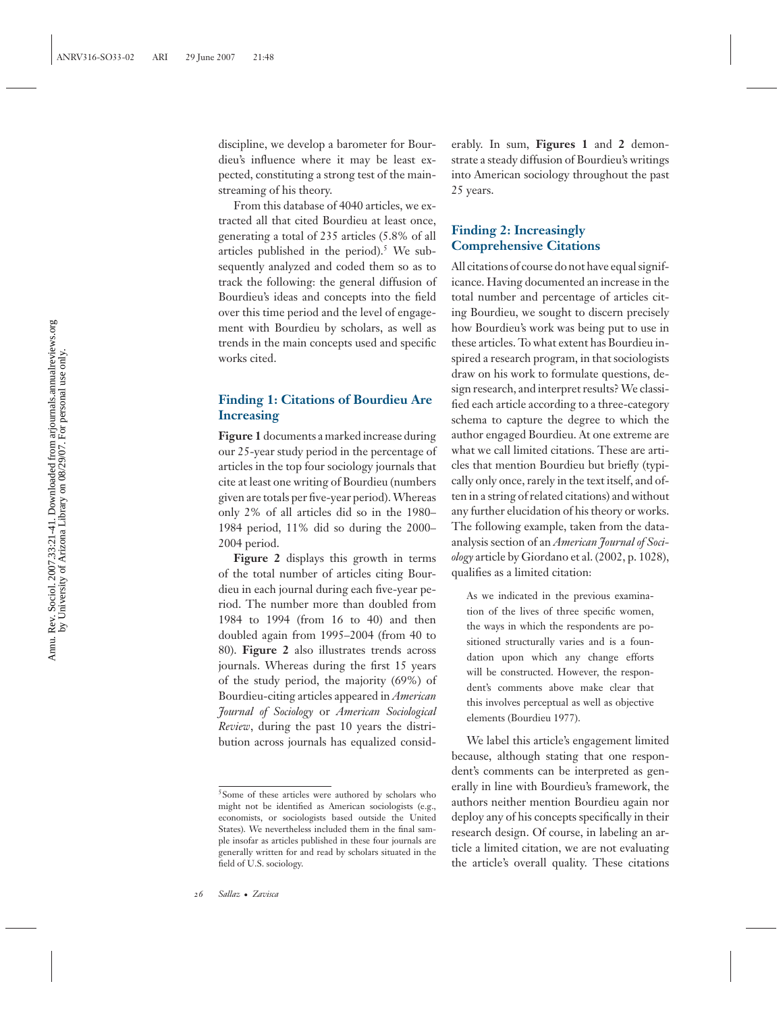discipline, we develop a barometer for Bourdieu's influence where it may be least expected, constituting a strong test of the mainstreaming of his theory.

From this database of 4040 articles, we extracted all that cited Bourdieu at least once, generating a total of 235 articles (5.8% of all articles published in the period).<sup>5</sup> We subsequently analyzed and coded them so as to track the following: the general diffusion of Bourdieu's ideas and concepts into the field over this time period and the level of engagement with Bourdieu by scholars, as well as trends in the main concepts used and specific works cited.

#### **Finding 1: Citations of Bourdieu Are Increasing**

**Figure 1** documents a marked increase during our 25-year study period in the percentage of articles in the top four sociology journals that cite at least one writing of Bourdieu (numbers given are totals per five-year period). Whereas only 2% of all articles did so in the 1980– 1984 period, 11% did so during the 2000– 2004 period.

**Figure 2** displays this growth in terms of the total number of articles citing Bourdieu in each journal during each five-year period. The number more than doubled from 1984 to 1994 (from 16 to 40) and then doubled again from 1995–2004 (from 40 to 80). **Figure 2** also illustrates trends across journals. Whereas during the first 15 years of the study period, the majority (69%) of Bourdieu-citing articles appeared in *American Journal of Sociology* or *American Sociological Review*, during the past 10 years the distribution across journals has equalized considerably. In sum, **Figures 1** and **2** demonstrate a steady diffusion of Bourdieu's writings into American sociology throughout the past 25 years.

### **Finding 2: Increasingly Comprehensive Citations**

All citations of course do not have equal significance. Having documented an increase in the total number and percentage of articles citing Bourdieu, we sought to discern precisely how Bourdieu's work was being put to use in these articles. To what extent has Bourdieu inspired a research program, in that sociologists draw on his work to formulate questions, design research, and interpret results? We classified each article according to a three-category schema to capture the degree to which the author engaged Bourdieu. At one extreme are what we call limited citations. These are articles that mention Bourdieu but briefly (typically only once, rarely in the text itself, and often in a string of related citations) and without any further elucidation of his theory or works. The following example, taken from the dataanalysis section of an *American Journal of Sociology* article by Giordano et al. (2002, p. 1028), qualifies as a limited citation:

As we indicated in the previous examination of the lives of three specific women, the ways in which the respondents are positioned structurally varies and is a foundation upon which any change efforts will be constructed. However, the respondent's comments above make clear that this involves perceptual as well as objective elements (Bourdieu 1977).

We label this article's engagement limited because, although stating that one respondent's comments can be interpreted as generally in line with Bourdieu's framework, the authors neither mention Bourdieu again nor deploy any of his concepts specifically in their research design. Of course, in labeling an article a limited citation, we are not evaluating the article's overall quality. These citations

<sup>&</sup>lt;sup>5</sup>Some of these articles were authored by scholars who might not be identified as American sociologists (e.g., economists, or sociologists based outside the United States). We nevertheless included them in the final sample insofar as articles published in these four journals are generally written for and read by scholars situated in the field of U.S. sociology.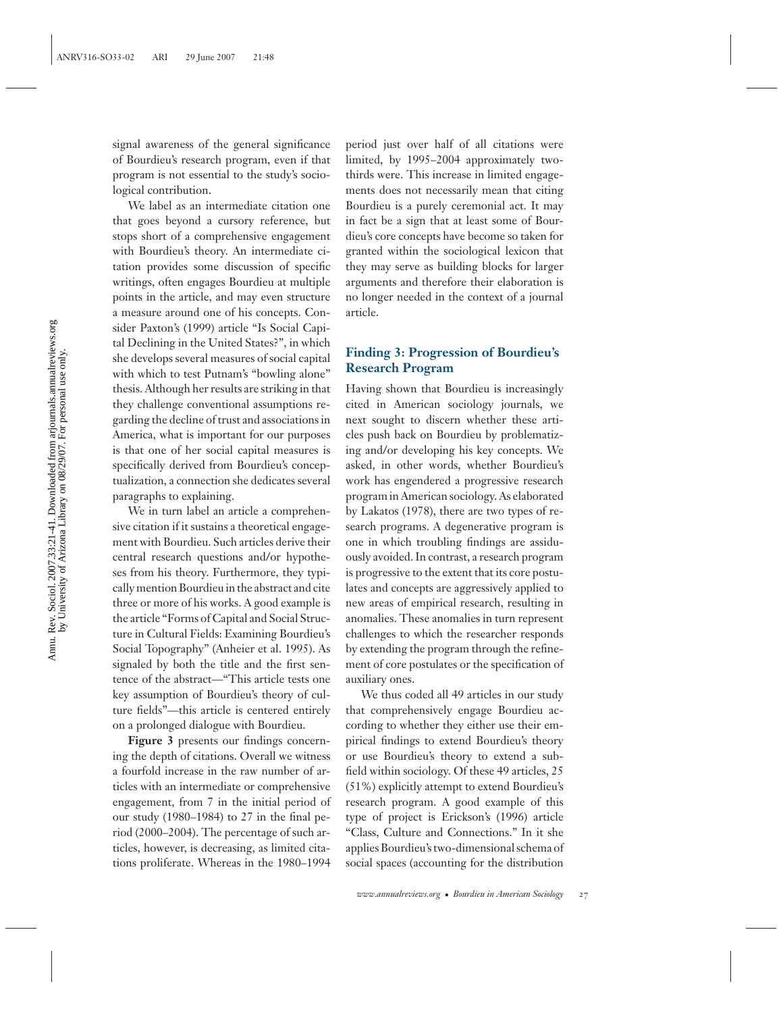signal awareness of the general significance of Bourdieu's research program, even if that program is not essential to the study's sociological contribution.

We label as an intermediate citation one that goes beyond a cursory reference, but stops short of a comprehensive engagement with Bourdieu's theory. An intermediate citation provides some discussion of specific writings, often engages Bourdieu at multiple points in the article, and may even structure a measure around one of his concepts. Consider Paxton's (1999) article "Is Social Capital Declining in the United States?", in which she develops several measures of social capital with which to test Putnam's "bowling alone" thesis. Although her results are striking in that they challenge conventional assumptions regarding the decline of trust and associations in America, what is important for our purposes is that one of her social capital measures is specifically derived from Bourdieu's conceptualization, a connection she dedicates several paragraphs to explaining.

We in turn label an article a comprehensive citation if it sustains a theoretical engagement with Bourdieu. Such articles derive their central research questions and/or hypotheses from his theory. Furthermore, they typically mention Bourdieu in the abstract and cite three or more of his works. A good example is the article "Forms of Capital and Social Structure in Cultural Fields: Examining Bourdieu's Social Topography" (Anheier et al. 1995). As signaled by both the title and the first sentence of the abstract—"This article tests one key assumption of Bourdieu's theory of culture fields"—this article is centered entirely on a prolonged dialogue with Bourdieu.

**Figure 3** presents our findings concerning the depth of citations. Overall we witness a fourfold increase in the raw number of articles with an intermediate or comprehensive engagement, from 7 in the initial period of our study (1980–1984) to 27 in the final period (2000–2004). The percentage of such articles, however, is decreasing, as limited citations proliferate. Whereas in the 1980–1994

period just over half of all citations were limited, by 1995–2004 approximately twothirds were. This increase in limited engagements does not necessarily mean that citing Bourdieu is a purely ceremonial act. It may in fact be a sign that at least some of Bourdieu's core concepts have become so taken for granted within the sociological lexicon that they may serve as building blocks for larger arguments and therefore their elaboration is no longer needed in the context of a journal article.

#### **Finding 3: Progression of Bourdieu's Research Program**

Having shown that Bourdieu is increasingly cited in American sociology journals, we next sought to discern whether these articles push back on Bourdieu by problematizing and/or developing his key concepts. We asked, in other words, whether Bourdieu's work has engendered a progressive research program in American sociology. As elaborated by Lakatos (1978), there are two types of research programs. A degenerative program is one in which troubling findings are assiduously avoided. In contrast, a research program is progressive to the extent that its core postulates and concepts are aggressively applied to new areas of empirical research, resulting in anomalies. These anomalies in turn represent challenges to which the researcher responds by extending the program through the refinement of core postulates or the specification of auxiliary ones.

We thus coded all 49 articles in our study that comprehensively engage Bourdieu according to whether they either use their empirical findings to extend Bourdieu's theory or use Bourdieu's theory to extend a subfield within sociology. Of these 49 articles, 25 (51%) explicitly attempt to extend Bourdieu's research program. A good example of this type of project is Erickson's (1996) article "Class, Culture and Connections." In it she applies Bourdieu's two-dimensional schema of social spaces (accounting for the distribution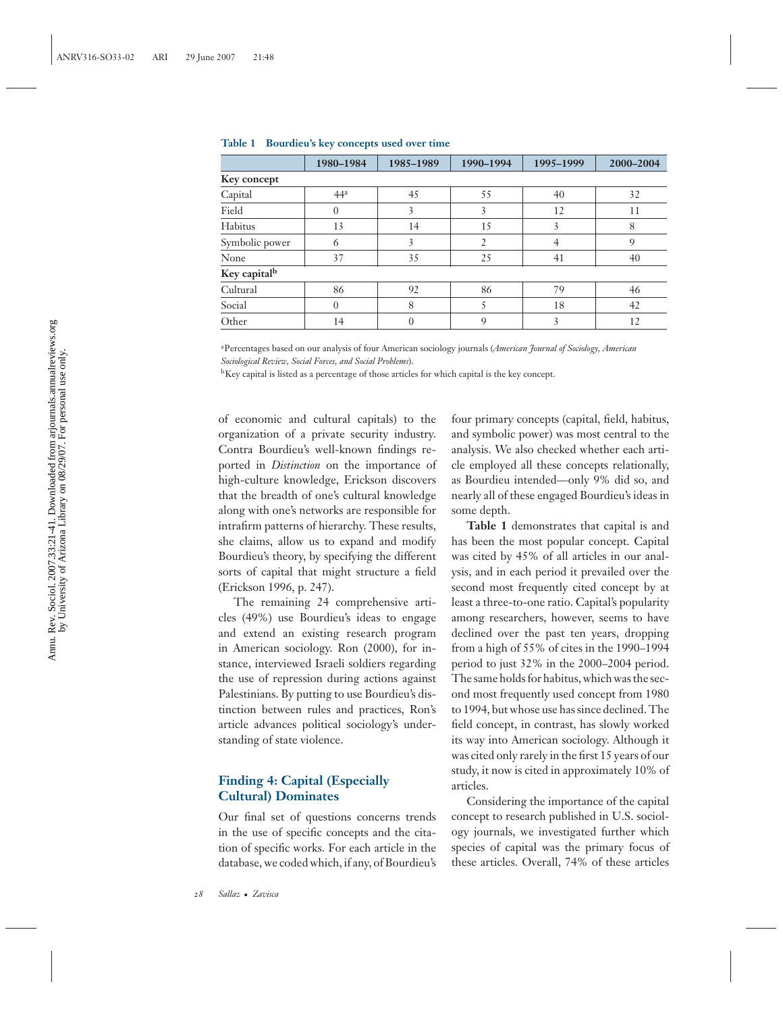|                          | 1980-1984       | 1985-1989 | 1990-1994      | 1995-1999 | 2000-2004 |
|--------------------------|-----------------|-----------|----------------|-----------|-----------|
| Key concept              |                 |           |                |           |           |
| Capital                  | 44 <sup>a</sup> | 45        | 55             | 40        | 32        |
| Field                    | $\Omega$        | 3         | 3              | 12        | 11        |
| Habitus                  | 13              | 14        | 15             |           | 8         |
| Symbolic power           | 6               |           | $\mathfrak{I}$ | 4         | Q         |
| None                     | 37              | 35        | 25             | 41        | 40        |
| Key capital <sup>b</sup> |                 |           |                |           |           |
| Cultural                 | 86              | 92        | 86             | 79        | 46        |
| Social                   | $\Omega$        | 8         |                | 18        | 42        |
| Other                    | 14              | $\Omega$  | 9              | 3         | 12        |

#### **Table 1 Bourdieu's key concepts used over time**

aPercentages based on our analysis of four American sociology journals (*American Journal of Sociology, American Sociological Review, Social Forces, and Social Problems*).

bKey capital is listed as a percentage of those articles for which capital is the key concept.

of economic and cultural capitals) to the organization of a private security industry. Contra Bourdieu's well-known findings reported in *Distinction* on the importance of high-culture knowledge, Erickson discovers that the breadth of one's cultural knowledge along with one's networks are responsible for intrafirm patterns of hierarchy. These results, she claims, allow us to expand and modify Bourdieu's theory, by specifying the different sorts of capital that might structure a field (Erickson 1996, p. 247).

The remaining 24 comprehensive articles (49%) use Bourdieu's ideas to engage and extend an existing research program in American sociology. Ron (2000), for instance, interviewed Israeli soldiers regarding the use of repression during actions against Palestinians. By putting to use Bourdieu's distinction between rules and practices, Ron's article advances political sociology's understanding of state violence.

#### **Finding 4: Capital (Especially Cultural) Dominates**

Our final set of questions concerns trends in the use of specific concepts and the citation of specific works. For each article in the database, we coded which, if any, of Bourdieu's

four primary concepts (capital, field, habitus, and symbolic power) was most central to the analysis. We also checked whether each article employed all these concepts relationally, as Bourdieu intended—only 9% did so, and nearly all of these engaged Bourdieu's ideas in some depth.

**Table 1** demonstrates that capital is and has been the most popular concept. Capital was cited by 45% of all articles in our analysis, and in each period it prevailed over the second most frequently cited concept by at least a three-to-one ratio. Capital's popularity among researchers, however, seems to have declined over the past ten years, dropping from a high of 55% of cites in the 1990–1994 period to just 32% in the 2000–2004 period. The same holds for habitus, which was the second most frequently used concept from 1980 to 1994, but whose use has since declined. The field concept, in contrast, has slowly worked its way into American sociology. Although it was cited only rarely in the first 15 years of our study, it now is cited in approximately 10% of articles.

Considering the importance of the capital concept to research published in U.S. sociology journals, we investigated further which species of capital was the primary focus of these articles. Overall, 74% of these articles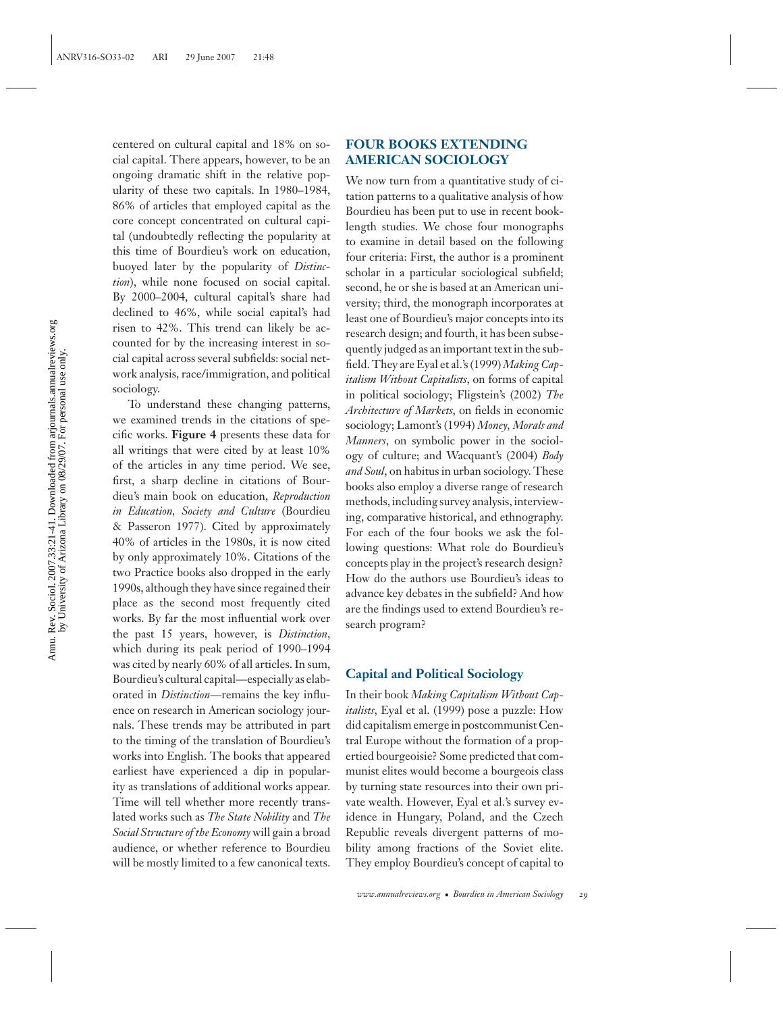centered on cultural capital and 18% on social capital. There appears, however, to be an ongoing dramatic shift in the relative popularity of these two capitals. In 1980–1984, 86% of articles that employed capital as the core concept concentrated on cultural capital (undoubtedly reflecting the popularity at this time of Bourdieu's work on education, buoyed later by the popularity of *Distinction*), while none focused on social capital. By 2000–2004, cultural capital's share had declined to 46%, while social capital's had risen to 42%. This trend can likely be accounted for by the increasing interest in social capital across several subfields: social network analysis, race/immigration, and political sociology.

To understand these changing patterns, we examined trends in the citations of specific works. **Figure 4** presents these data for all writings that were cited by at least 10% of the articles in any time period. We see, first, a sharp decline in citations of Bourdieu's main book on education, *Reproduction in Education, Society and Culture* (Bourdieu & Passeron 1977). Cited by approximately 40% of articles in the 1980s, it is now cited by only approximately 10%. Citations of the two Practice books also dropped in the early 1990s, although they have since regained their place as the second most frequently cited works. By far the most influential work over the past 15 years, however, is *Distinction*, which during its peak period of 1990–1994 was cited by nearly 60% of all articles. In sum, Bourdieu's cultural capital—especially as elaborated in *Distinction*—remains the key influence on research in American sociology journals. These trends may be attributed in part to the timing of the translation of Bourdieu's works into English. The books that appeared earliest have experienced a dip in popularity as translations of additional works appear. Time will tell whether more recently translated works such as *The State Nobility* and *The Social Structure of the Economy* will gain a broad audience, or whether reference to Bourdieu will be mostly limited to a few canonical texts.

### **FOUR BOOKS EXTENDING AMERICAN SOCIOLOGY**

We now turn from a quantitative study of citation patterns to a qualitative analysis of how Bourdieu has been put to use in recent booklength studies. We chose four monographs to examine in detail based on the following four criteria: First, the author is a prominent scholar in a particular sociological subfield; second, he or she is based at an American university; third, the monograph incorporates at least one of Bourdieu's major concepts into its research design; and fourth, it has been subsequently judged as an important text in the subfield. They are Eyal et al.'s (1999) *Making Capitalism Without Capitalists*, on forms of capital in political sociology; Fligstein's (2002) *The Architecture of Markets*, on fields in economic sociology; Lamont's (1994) *Money, Morals and Manners*, on symbolic power in the sociology of culture; and Wacquant's (2004) *Body and Soul*, on habitus in urban sociology. These books also employ a diverse range of research methods, including survey analysis, interviewing, comparative historical, and ethnography. For each of the four books we ask the following questions: What role do Bourdieu's concepts play in the project's research design? How do the authors use Bourdieu's ideas to advance key debates in the subfield? And how are the findings used to extend Bourdieu's research program?

#### **Capital and Political Sociology**

In their book *Making Capitalism Without Capitalists*, Eyal et al. (1999) pose a puzzle: How did capitalism emerge in postcommunist Central Europe without the formation of a propertied bourgeoisie? Some predicted that communist elites would become a bourgeois class by turning state resources into their own private wealth. However, Eyal et al.'s survey evidence in Hungary, Poland, and the Czech Republic reveals divergent patterns of mobility among fractions of the Soviet elite. They employ Bourdieu's concept of capital to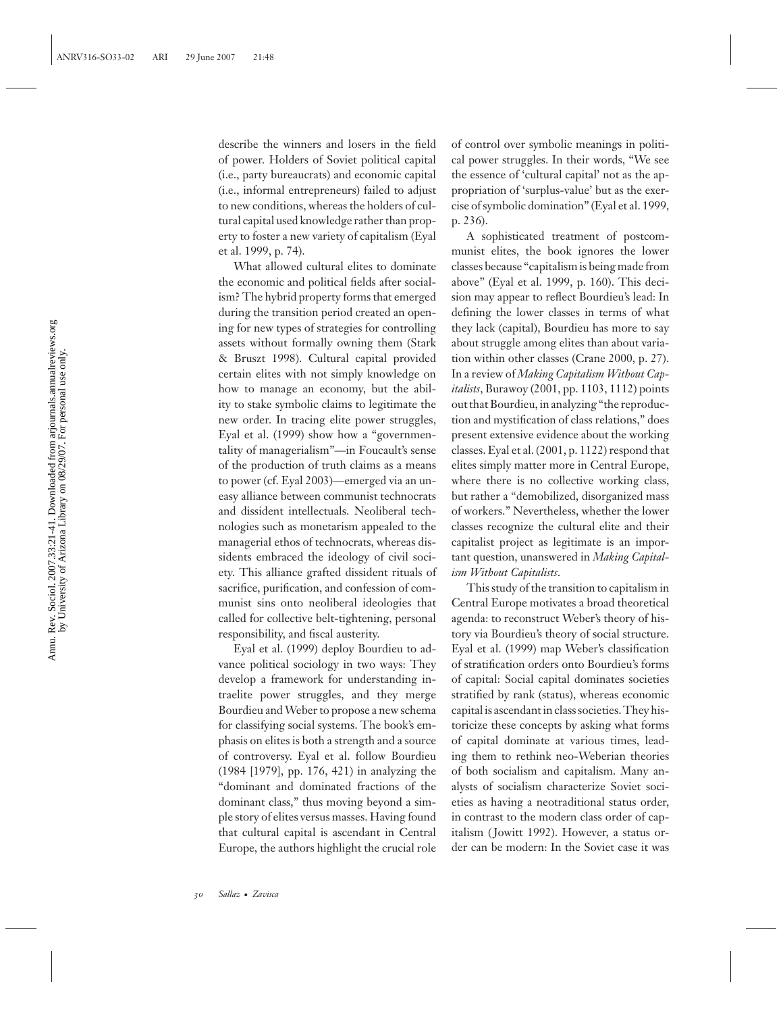describe the winners and losers in the field of power. Holders of Soviet political capital (i.e., party bureaucrats) and economic capital (i.e., informal entrepreneurs) failed to adjust to new conditions, whereas the holders of cultural capital used knowledge rather than property to foster a new variety of capitalism (Eyal et al. 1999, p. 74).

What allowed cultural elites to dominate the economic and political fields after socialism? The hybrid property forms that emerged during the transition period created an opening for new types of strategies for controlling assets without formally owning them (Stark & Bruszt 1998). Cultural capital provided certain elites with not simply knowledge on how to manage an economy, but the ability to stake symbolic claims to legitimate the new order. In tracing elite power struggles, Eyal et al. (1999) show how a "governmentality of managerialism"—in Foucault's sense of the production of truth claims as a means to power (cf. Eyal 2003)—emerged via an uneasy alliance between communist technocrats and dissident intellectuals. Neoliberal technologies such as monetarism appealed to the managerial ethos of technocrats, whereas dissidents embraced the ideology of civil society. This alliance grafted dissident rituals of sacrifice, purification, and confession of communist sins onto neoliberal ideologies that called for collective belt-tightening, personal responsibility, and fiscal austerity.

Eyal et al. (1999) deploy Bourdieu to advance political sociology in two ways: They develop a framework for understanding intraelite power struggles, and they merge Bourdieu and Weber to propose a new schema for classifying social systems. The book's emphasis on elites is both a strength and a source of controversy. Eyal et al. follow Bourdieu (1984 [1979], pp. 176, 421) in analyzing the "dominant and dominated fractions of the dominant class," thus moving beyond a simple story of elites versus masses. Having found that cultural capital is ascendant in Central Europe, the authors highlight the crucial role

of control over symbolic meanings in political power struggles. In their words, "We see the essence of 'cultural capital' not as the appropriation of 'surplus-value' but as the exercise of symbolic domination" (Eyal et al. 1999, p. 236).

A sophisticated treatment of postcommunist elites, the book ignores the lower classes because "capitalism is being made from above" (Eyal et al. 1999, p. 160). This decision may appear to reflect Bourdieu's lead: In defining the lower classes in terms of what they lack (capital), Bourdieu has more to say about struggle among elites than about variation within other classes (Crane 2000, p. 27). In a review of *Making Capitalism Without Capitalists*, Burawoy (2001, pp. 1103, 1112) points out that Bourdieu, in analyzing "the reproduction and mystification of class relations," does present extensive evidence about the working classes. Eyal et al. (2001, p. 1122) respond that elites simply matter more in Central Europe, where there is no collective working class, but rather a "demobilized, disorganized mass of workers." Nevertheless, whether the lower classes recognize the cultural elite and their capitalist project as legitimate is an important question, unanswered in *Making Capitalism Without Capitalists*.

This study of the transition to capitalism in Central Europe motivates a broad theoretical agenda: to reconstruct Weber's theory of history via Bourdieu's theory of social structure. Eyal et al. (1999) map Weber's classification of stratification orders onto Bourdieu's forms of capital: Social capital dominates societies stratified by rank (status), whereas economic capital is ascendant in class societies. They historicize these concepts by asking what forms of capital dominate at various times, leading them to rethink neo-Weberian theories of both socialism and capitalism. Many analysts of socialism characterize Soviet societies as having a neotraditional status order, in contrast to the modern class order of capitalism ( Jowitt 1992). However, a status order can be modern: In the Soviet case it was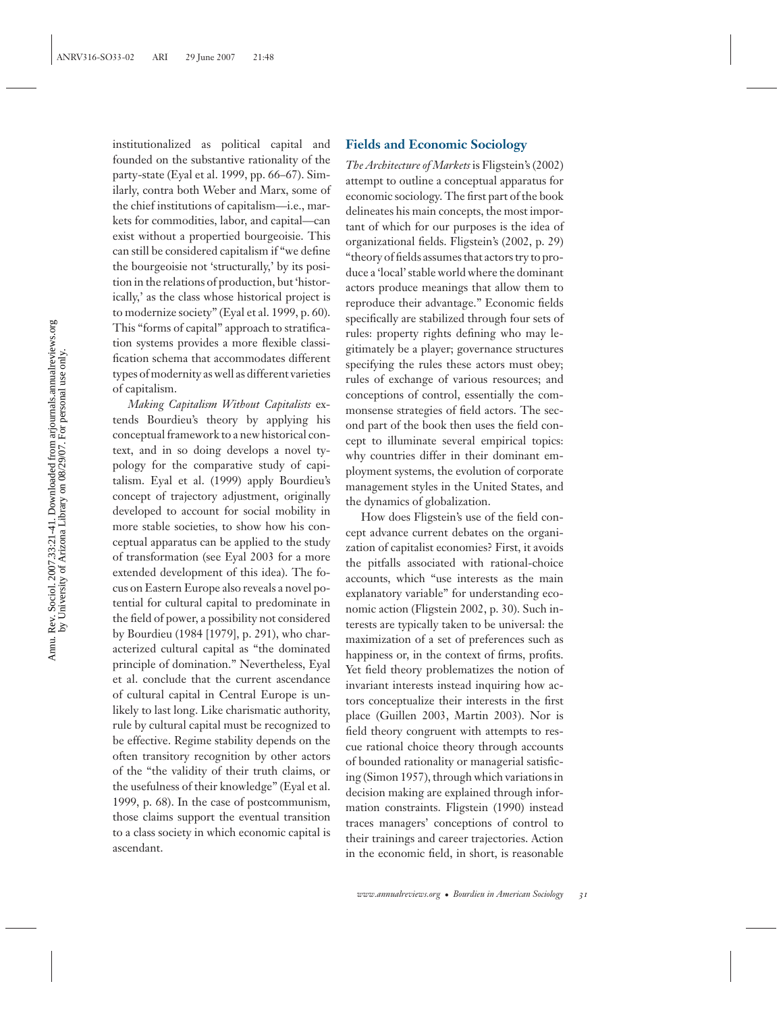institutionalized as political capital and founded on the substantive rationality of the party-state (Eyal et al. 1999, pp. 66–67). Similarly, contra both Weber and Marx, some of the chief institutions of capitalism—i.e., markets for commodities, labor, and capital—can exist without a propertied bourgeoisie. This can still be considered capitalism if "we define the bourgeoisie not 'structurally,' by its position in the relations of production, but 'historically,' as the class whose historical project is to modernize society" (Eyal et al. 1999, p. 60). This "forms of capital" approach to stratification systems provides a more flexible classification schema that accommodates different types of modernity as well as different varieties of capitalism.

*Making Capitalism Without Capitalists* extends Bourdieu's theory by applying his conceptual framework to a new historical context, and in so doing develops a novel typology for the comparative study of capitalism. Eyal et al. (1999) apply Bourdieu's concept of trajectory adjustment, originally developed to account for social mobility in more stable societies, to show how his conceptual apparatus can be applied to the study of transformation (see Eyal 2003 for a more extended development of this idea). The focus on Eastern Europe also reveals a novel potential for cultural capital to predominate in the field of power, a possibility not considered by Bourdieu (1984 [1979], p. 291), who characterized cultural capital as "the dominated principle of domination." Nevertheless, Eyal et al. conclude that the current ascendance of cultural capital in Central Europe is unlikely to last long. Like charismatic authority, rule by cultural capital must be recognized to be effective. Regime stability depends on the often transitory recognition by other actors of the "the validity of their truth claims, or the usefulness of their knowledge" (Eyal et al. 1999, p. 68). In the case of postcommunism, those claims support the eventual transition to a class society in which economic capital is ascendant.

#### **Fields and Economic Sociology**

*The Architecture of Markets* is Fligstein's (2002) attempt to outline a conceptual apparatus for economic sociology. The first part of the book delineates his main concepts, the most important of which for our purposes is the idea of organizational fields. Fligstein's (2002, p. 29) "theory of fields assumes that actors try to produce a 'local' stable world where the dominant actors produce meanings that allow them to reproduce their advantage." Economic fields specifically are stabilized through four sets of rules: property rights defining who may legitimately be a player; governance structures specifying the rules these actors must obey; rules of exchange of various resources; and conceptions of control, essentially the commonsense strategies of field actors. The second part of the book then uses the field concept to illuminate several empirical topics: why countries differ in their dominant employment systems, the evolution of corporate management styles in the United States, and the dynamics of globalization.

How does Fligstein's use of the field concept advance current debates on the organization of capitalist economies? First, it avoids the pitfalls associated with rational-choice accounts, which "use interests as the main explanatory variable" for understanding economic action (Fligstein 2002, p. 30). Such interests are typically taken to be universal: the maximization of a set of preferences such as happiness or, in the context of firms, profits. Yet field theory problematizes the notion of invariant interests instead inquiring how actors conceptualize their interests in the first place (Guillen 2003, Martin 2003). Nor is field theory congruent with attempts to rescue rational choice theory through accounts of bounded rationality or managerial satisficing (Simon 1957), through which variations in decision making are explained through information constraints. Fligstein (1990) instead traces managers' conceptions of control to their trainings and career trajectories. Action in the economic field, in short, is reasonable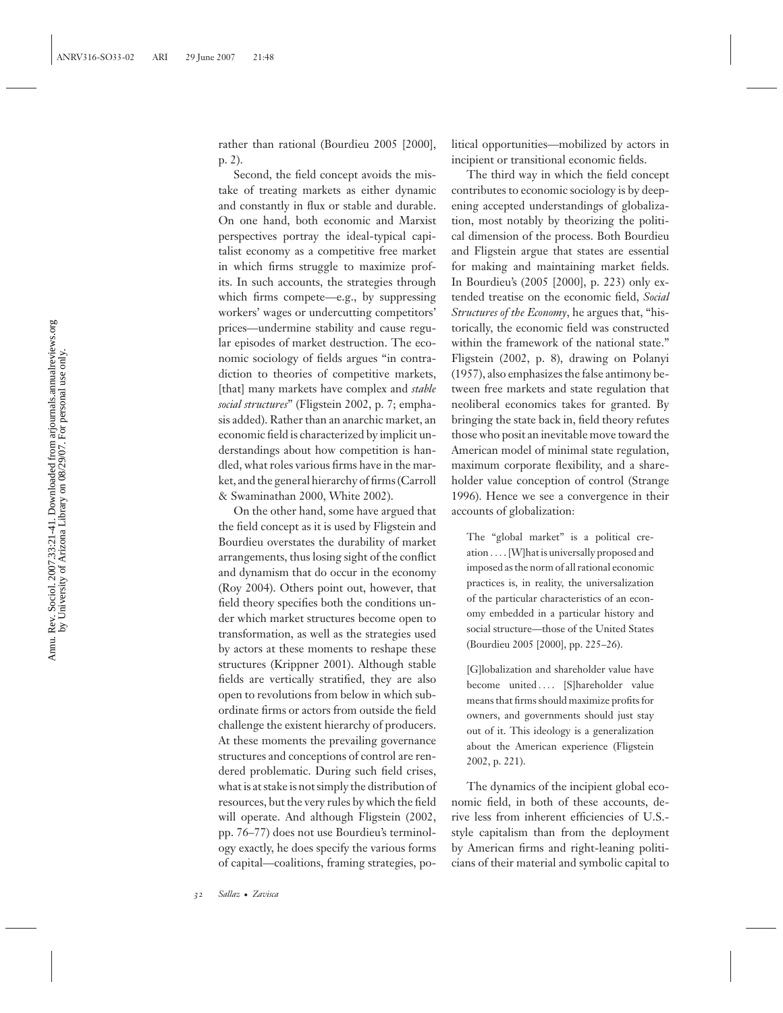rather than rational (Bourdieu 2005 [2000], p. 2).

Second, the field concept avoids the mistake of treating markets as either dynamic and constantly in flux or stable and durable. On one hand, both economic and Marxist perspectives portray the ideal-typical capitalist economy as a competitive free market in which firms struggle to maximize profits. In such accounts, the strategies through which firms compete—e.g., by suppressing workers' wages or undercutting competitors' prices—undermine stability and cause regular episodes of market destruction. The economic sociology of fields argues "in contradiction to theories of competitive markets, [that] many markets have complex and *stable social structures*" (Fligstein 2002, p. 7; emphasis added). Rather than an anarchic market, an economic field is characterized by implicit understandings about how competition is handled, what roles various firms have in the market, and the general hierarchy of firms (Carroll & Swaminathan 2000, White 2002).

On the other hand, some have argued that the field concept as it is used by Fligstein and Bourdieu overstates the durability of market arrangements, thus losing sight of the conflict and dynamism that do occur in the economy (Roy 2004). Others point out, however, that field theory specifies both the conditions under which market structures become open to transformation, as well as the strategies used by actors at these moments to reshape these structures (Krippner 2001). Although stable fields are vertically stratified, they are also open to revolutions from below in which subordinate firms or actors from outside the field challenge the existent hierarchy of producers. At these moments the prevailing governance structures and conceptions of control are rendered problematic. During such field crises, what is at stake is not simply the distribution of resources, but the very rules by which the field will operate. And although Fligstein (2002, pp. 76–77) does not use Bourdieu's terminology exactly, he does specify the various forms of capital—coalitions, framing strategies, political opportunities—mobilized by actors in incipient or transitional economic fields.

The third way in which the field concept contributes to economic sociology is by deepening accepted understandings of globalization, most notably by theorizing the political dimension of the process. Both Bourdieu and Fligstein argue that states are essential for making and maintaining market fields. In Bourdieu's (2005 [2000], p. 223) only extended treatise on the economic field, *Social Structures of the Economy*, he argues that, "historically, the economic field was constructed within the framework of the national state." Fligstein (2002, p. 8), drawing on Polanyi (1957), also emphasizes the false antimony between free markets and state regulation that neoliberal economics takes for granted. By bringing the state back in, field theory refutes those who posit an inevitable move toward the American model of minimal state regulation, maximum corporate flexibility, and a shareholder value conception of control (Strange 1996). Hence we see a convergence in their accounts of globalization:

The "global market" is a political creation ... . [W]hat is universally proposed and imposed as the norm of all rational economic practices is, in reality, the universalization of the particular characteristics of an economy embedded in a particular history and social structure—those of the United States (Bourdieu 2005 [2000], pp. 225–26).

[G]lobalization and shareholder value have become united ... . [S]hareholder value means that firms should maximize profits for owners, and governments should just stay out of it. This ideology is a generalization about the American experience (Fligstein 2002, p. 221).

The dynamics of the incipient global economic field, in both of these accounts, derive less from inherent efficiencies of U.S. style capitalism than from the deployment by American firms and right-leaning politicians of their material and symbolic capital to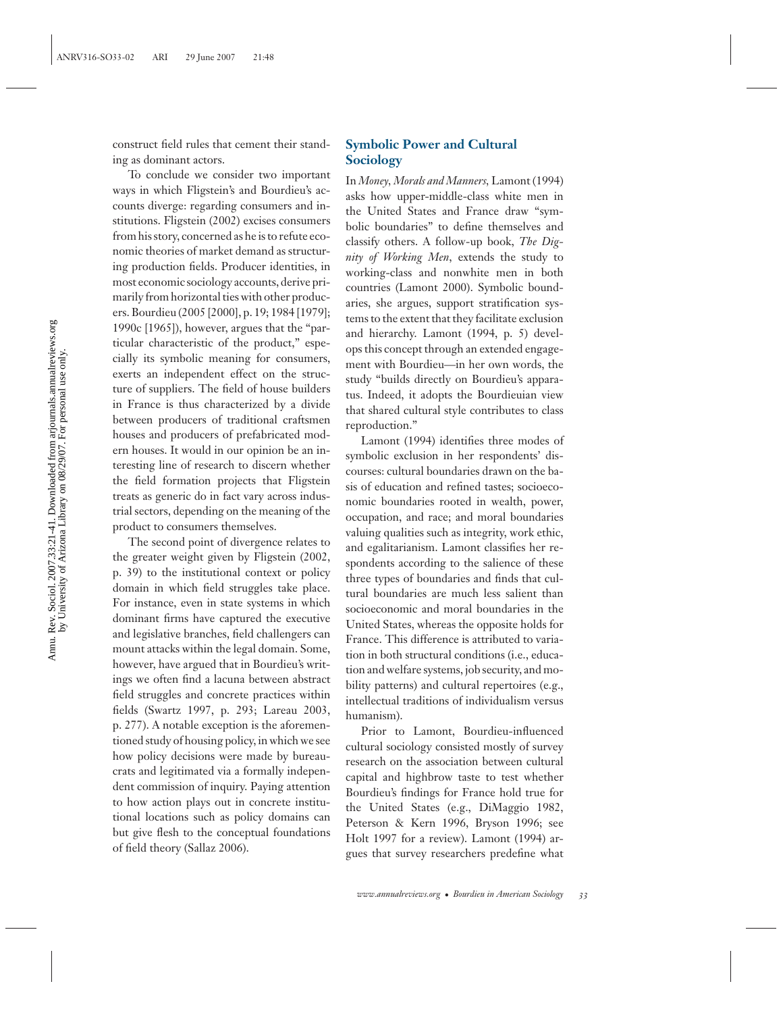construct field rules that cement their standing as dominant actors.

To conclude we consider two important ways in which Fligstein's and Bourdieu's accounts diverge: regarding consumers and institutions. Fligstein (2002) excises consumers from his story, concerned as he is to refute economic theories of market demand as structuring production fields. Producer identities, in most economic sociology accounts, derive primarily from horizontal ties with other producers. Bourdieu (2005 [2000], p. 19; 1984 [1979]; 1990c [1965]), however, argues that the "particular characteristic of the product," especially its symbolic meaning for consumers, exerts an independent effect on the structure of suppliers. The field of house builders in France is thus characterized by a divide between producers of traditional craftsmen houses and producers of prefabricated modern houses. It would in our opinion be an interesting line of research to discern whether the field formation projects that Fligstein treats as generic do in fact vary across industrial sectors, depending on the meaning of the product to consumers themselves.

The second point of divergence relates to the greater weight given by Fligstein (2002, p. 39) to the institutional context or policy domain in which field struggles take place. For instance, even in state systems in which dominant firms have captured the executive and legislative branches, field challengers can mount attacks within the legal domain. Some, however, have argued that in Bourdieu's writings we often find a lacuna between abstract field struggles and concrete practices within fields (Swartz 1997, p. 293; Lareau 2003, p. 277). A notable exception is the aforementioned study of housing policy, in which we see how policy decisions were made by bureaucrats and legitimated via a formally independent commission of inquiry. Paying attention to how action plays out in concrete institutional locations such as policy domains can but give flesh to the conceptual foundations of field theory (Sallaz 2006).

#### **Symbolic Power and Cultural Sociology**

In *Money, Morals and Manners,* Lamont (1994) asks how upper-middle-class white men in the United States and France draw "symbolic boundaries" to define themselves and classify others. A follow-up book, *The Dignity of Working Men*, extends the study to working-class and nonwhite men in both countries (Lamont 2000). Symbolic boundaries, she argues, support stratification systems to the extent that they facilitate exclusion and hierarchy. Lamont (1994, p. 5) develops this concept through an extended engagement with Bourdieu—in her own words, the study "builds directly on Bourdieu's apparatus. Indeed, it adopts the Bourdieuian view that shared cultural style contributes to class reproduction."

Lamont (1994) identifies three modes of symbolic exclusion in her respondents' discourses: cultural boundaries drawn on the basis of education and refined tastes; socioeconomic boundaries rooted in wealth, power, occupation, and race; and moral boundaries valuing qualities such as integrity, work ethic, and egalitarianism. Lamont classifies her respondents according to the salience of these three types of boundaries and finds that cultural boundaries are much less salient than socioeconomic and moral boundaries in the United States, whereas the opposite holds for France. This difference is attributed to variation in both structural conditions (i.e., education and welfare systems, job security, and mobility patterns) and cultural repertoires (e.g., intellectual traditions of individualism versus humanism).

Prior to Lamont, Bourdieu-influenced cultural sociology consisted mostly of survey research on the association between cultural capital and highbrow taste to test whether Bourdieu's findings for France hold true for the United States (e.g., DiMaggio 1982, Peterson & Kern 1996, Bryson 1996; see Holt 1997 for a review). Lamont (1994) argues that survey researchers predefine what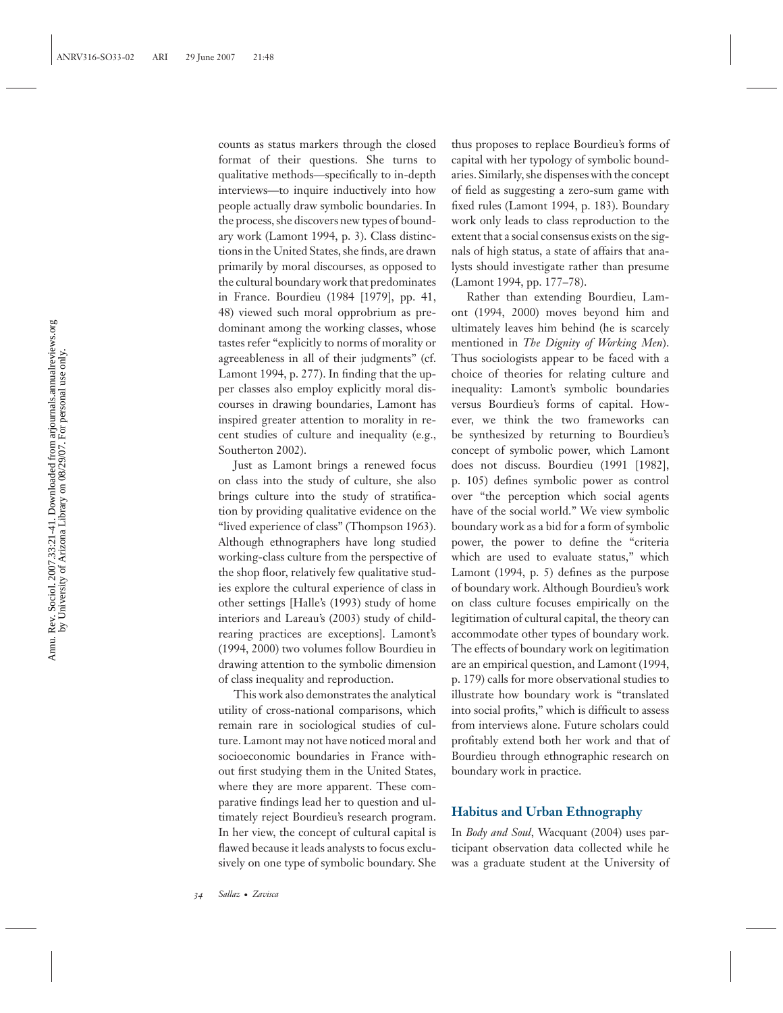counts as status markers through the closed format of their questions. She turns to qualitative methods—specifically to in-depth interviews—to inquire inductively into how people actually draw symbolic boundaries. In the process, she discovers new types of boundary work (Lamont 1994, p. 3). Class distinctions in the United States, she finds, are drawn primarily by moral discourses, as opposed to the cultural boundary work that predominates in France. Bourdieu (1984 [1979], pp. 41, 48) viewed such moral opprobrium as predominant among the working classes, whose tastes refer "explicitly to norms of morality or agreeableness in all of their judgments" (cf. Lamont 1994, p. 277). In finding that the upper classes also employ explicitly moral discourses in drawing boundaries, Lamont has inspired greater attention to morality in recent studies of culture and inequality (e.g., Southerton 2002).

Just as Lamont brings a renewed focus on class into the study of culture, she also brings culture into the study of stratification by providing qualitative evidence on the "lived experience of class" (Thompson 1963). Although ethnographers have long studied working-class culture from the perspective of the shop floor, relatively few qualitative studies explore the cultural experience of class in other settings [Halle's (1993) study of home interiors and Lareau's (2003) study of childrearing practices are exceptions]. Lamont's (1994, 2000) two volumes follow Bourdieu in drawing attention to the symbolic dimension of class inequality and reproduction.

This work also demonstrates the analytical utility of cross-national comparisons, which remain rare in sociological studies of culture. Lamont may not have noticed moral and socioeconomic boundaries in France without first studying them in the United States, where they are more apparent. These comparative findings lead her to question and ultimately reject Bourdieu's research program. In her view, the concept of cultural capital is flawed because it leads analysts to focus exclusively on one type of symbolic boundary. She

thus proposes to replace Bourdieu's forms of capital with her typology of symbolic boundaries. Similarly, she dispenses with the concept of field as suggesting a zero-sum game with fixed rules (Lamont 1994, p. 183). Boundary work only leads to class reproduction to the extent that a social consensus exists on the signals of high status, a state of affairs that analysts should investigate rather than presume (Lamont 1994, pp. 177–78).

Rather than extending Bourdieu, Lamont (1994, 2000) moves beyond him and ultimately leaves him behind (he is scarcely mentioned in *The Dignity of Working Men*). Thus sociologists appear to be faced with a choice of theories for relating culture and inequality: Lamont's symbolic boundaries versus Bourdieu's forms of capital. However, we think the two frameworks can be synthesized by returning to Bourdieu's concept of symbolic power, which Lamont does not discuss. Bourdieu (1991 [1982], p. 105) defines symbolic power as control over "the perception which social agents have of the social world." We view symbolic boundary work as a bid for a form of symbolic power, the power to define the "criteria which are used to evaluate status," which Lamont (1994, p. 5) defines as the purpose of boundary work. Although Bourdieu's work on class culture focuses empirically on the legitimation of cultural capital, the theory can accommodate other types of boundary work. The effects of boundary work on legitimation are an empirical question, and Lamont (1994, p. 179) calls for more observational studies to illustrate how boundary work is "translated into social profits," which is difficult to assess from interviews alone. Future scholars could profitably extend both her work and that of Bourdieu through ethnographic research on boundary work in practice.

#### **Habitus and Urban Ethnography**

In *Body and Soul*, Wacquant (2004) uses participant observation data collected while he was a graduate student at the University of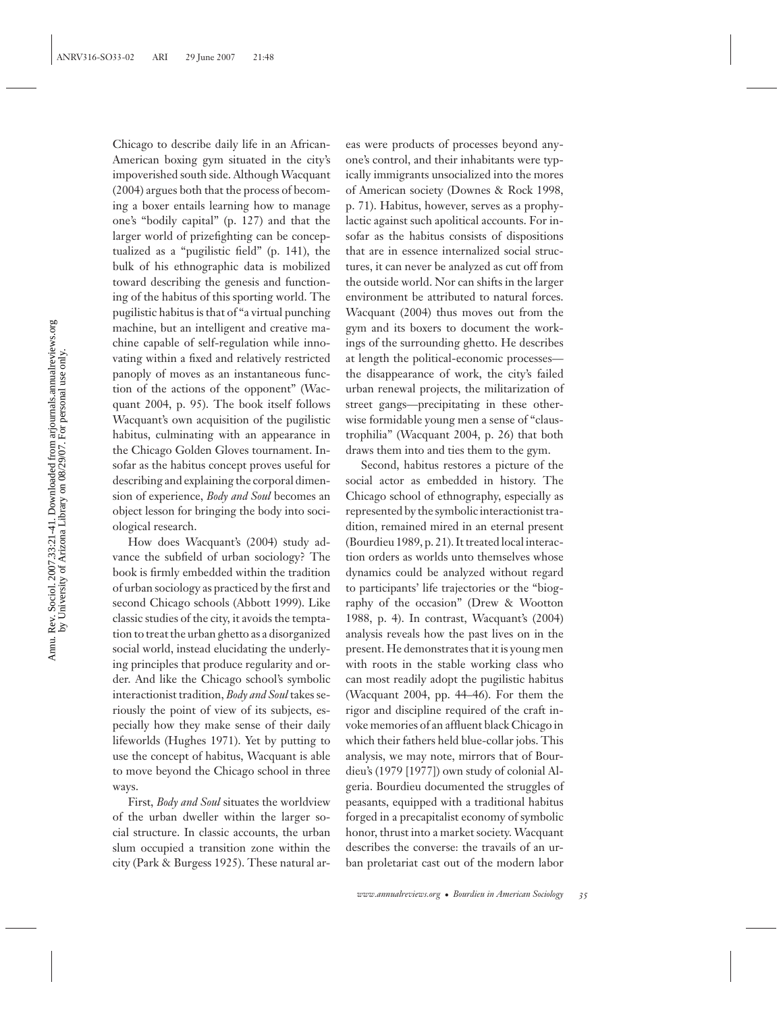Chicago to describe daily life in an African-American boxing gym situated in the city's impoverished south side. Although Wacquant (2004) argues both that the process of becoming a boxer entails learning how to manage one's "bodily capital" (p. 127) and that the larger world of prizefighting can be conceptualized as a "pugilistic field" (p. 141), the bulk of his ethnographic data is mobilized toward describing the genesis and functioning of the habitus of this sporting world. The pugilistic habitus is that of "a virtual punching machine, but an intelligent and creative machine capable of self-regulation while innovating within a fixed and relatively restricted panoply of moves as an instantaneous function of the actions of the opponent" (Wacquant 2004, p. 95). The book itself follows Wacquant's own acquisition of the pugilistic habitus, culminating with an appearance in the Chicago Golden Gloves tournament. Insofar as the habitus concept proves useful for describing and explaining the corporal dimension of experience, *Body and Soul* becomes an object lesson for bringing the body into sociological research.

How does Wacquant's (2004) study advance the subfield of urban sociology? The book is firmly embedded within the tradition of urban sociology as practiced by the first and second Chicago schools (Abbott 1999). Like classic studies of the city, it avoids the temptation to treat the urban ghetto as a disorganized social world, instead elucidating the underlying principles that produce regularity and order. And like the Chicago school's symbolic interactionist tradition, *Body and Soul* takes seriously the point of view of its subjects, especially how they make sense of their daily lifeworlds (Hughes 1971). Yet by putting to use the concept of habitus, Wacquant is able to move beyond the Chicago school in three ways.

First, *Body and Soul* situates the worldview of the urban dweller within the larger social structure. In classic accounts, the urban slum occupied a transition zone within the city (Park & Burgess 1925). These natural areas were products of processes beyond anyone's control, and their inhabitants were typically immigrants unsocialized into the mores of American society (Downes & Rock 1998, p. 71). Habitus, however, serves as a prophylactic against such apolitical accounts. For insofar as the habitus consists of dispositions that are in essence internalized social structures, it can never be analyzed as cut off from the outside world. Nor can shifts in the larger environment be attributed to natural forces. Wacquant (2004) thus moves out from the gym and its boxers to document the workings of the surrounding ghetto. He describes at length the political-economic processes the disappearance of work, the city's failed urban renewal projects, the militarization of street gangs—precipitating in these otherwise formidable young men a sense of "claustrophilia" (Wacquant 2004, p. 26) that both draws them into and ties them to the gym.

Second, habitus restores a picture of the social actor as embedded in history. The Chicago school of ethnography, especially as represented by the symbolic interactionist tradition, remained mired in an eternal present (Bourdieu 1989, p. 21). It treated local interaction orders as worlds unto themselves whose dynamics could be analyzed without regard to participants' life trajectories or the "biography of the occasion" (Drew & Wootton 1988, p. 4). In contrast, Wacquant's (2004) analysis reveals how the past lives on in the present. He demonstrates that it is young men with roots in the stable working class who can most readily adopt the pugilistic habitus (Wacquant 2004, pp. 44–46). For them the rigor and discipline required of the craft invoke memories of an affluent black Chicago in which their fathers held blue-collar jobs. This analysis, we may note, mirrors that of Bourdieu's (1979 [1977]) own study of colonial Algeria. Bourdieu documented the struggles of peasants, equipped with a traditional habitus forged in a precapitalist economy of symbolic honor, thrust into a market society. Wacquant describes the converse: the travails of an urban proletariat cast out of the modern labor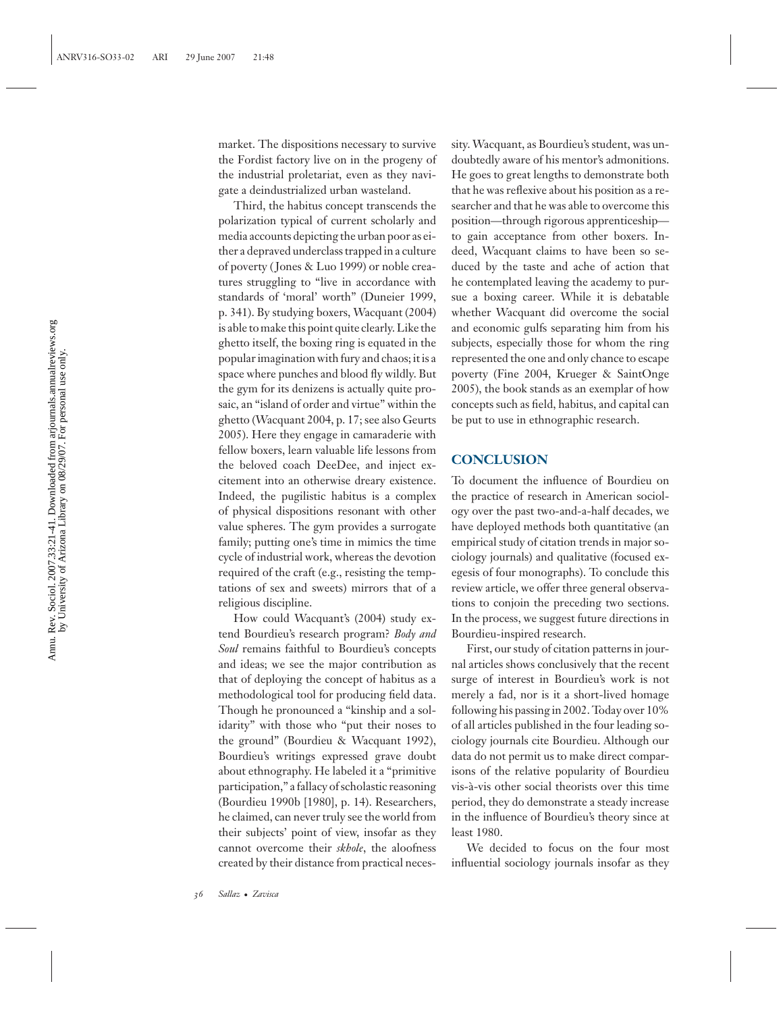market. The dispositions necessary to survive the Fordist factory live on in the progeny of the industrial proletariat, even as they navigate a deindustrialized urban wasteland.

Third, the habitus concept transcends the polarization typical of current scholarly and media accounts depicting the urban poor as either a depraved underclass trapped in a culture of poverty ( Jones & Luo 1999) or noble creatures struggling to "live in accordance with standards of 'moral' worth" (Duneier 1999, p. 341). By studying boxers, Wacquant (2004) is able to make this point quite clearly. Like the ghetto itself, the boxing ring is equated in the popular imagination with fury and chaos; it is a space where punches and blood fly wildly. But the gym for its denizens is actually quite prosaic, an "island of order and virtue" within the ghetto (Wacquant 2004, p. 17; see also Geurts 2005). Here they engage in camaraderie with fellow boxers, learn valuable life lessons from the beloved coach DeeDee, and inject excitement into an otherwise dreary existence. Indeed, the pugilistic habitus is a complex of physical dispositions resonant with other value spheres. The gym provides a surrogate family; putting one's time in mimics the time cycle of industrial work, whereas the devotion required of the craft (e.g., resisting the temptations of sex and sweets) mirrors that of a religious discipline.

How could Wacquant's (2004) study extend Bourdieu's research program? *Body and Soul* remains faithful to Bourdieu's concepts and ideas; we see the major contribution as that of deploying the concept of habitus as a methodological tool for producing field data. Though he pronounced a "kinship and a solidarity" with those who "put their noses to the ground" (Bourdieu & Wacquant 1992), Bourdieu's writings expressed grave doubt about ethnography. He labeled it a "primitive participation," a fallacy of scholastic reasoning (Bourdieu 1990b [1980], p. 14). Researchers, he claimed, can never truly see the world from their subjects' point of view, insofar as they cannot overcome their *skhole*, the aloofness created by their distance from practical necessity. Wacquant, as Bourdieu's student, was undoubtedly aware of his mentor's admonitions. He goes to great lengths to demonstrate both that he was reflexive about his position as a researcher and that he was able to overcome this position—through rigorous apprenticeship to gain acceptance from other boxers. Indeed, Wacquant claims to have been so seduced by the taste and ache of action that he contemplated leaving the academy to pursue a boxing career. While it is debatable whether Wacquant did overcome the social and economic gulfs separating him from his subjects, especially those for whom the ring represented the one and only chance to escape poverty (Fine 2004, Krueger & SaintOnge 2005), the book stands as an exemplar of how concepts such as field, habitus, and capital can be put to use in ethnographic research.

#### **CONCLUSION**

To document the influence of Bourdieu on the practice of research in American sociology over the past two-and-a-half decades, we have deployed methods both quantitative (an empirical study of citation trends in major sociology journals) and qualitative (focused exegesis of four monographs). To conclude this review article, we offer three general observations to conjoin the preceding two sections. In the process, we suggest future directions in Bourdieu-inspired research.

First, our study of citation patterns in journal articles shows conclusively that the recent surge of interest in Bourdieu's work is not merely a fad, nor is it a short-lived homage following his passing in 2002. Today over 10% of all articles published in the four leading sociology journals cite Bourdieu. Although our data do not permit us to make direct comparisons of the relative popularity of Bourdieu vis-a-vis other social theorists over this time ` period, they do demonstrate a steady increase in the influence of Bourdieu's theory since at least 1980.

We decided to focus on the four most influential sociology journals insofar as they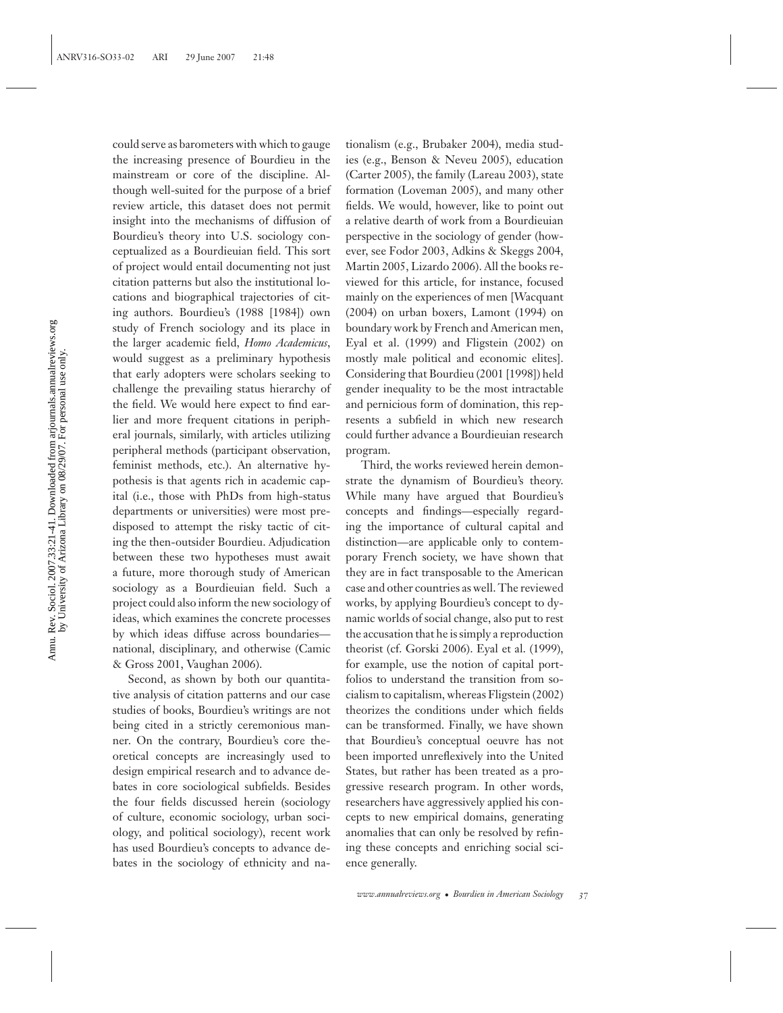could serve as barometers with which to gauge the increasing presence of Bourdieu in the mainstream or core of the discipline. Although well-suited for the purpose of a brief review article, this dataset does not permit insight into the mechanisms of diffusion of Bourdieu's theory into U.S. sociology conceptualized as a Bourdieuian field. This sort of project would entail documenting not just citation patterns but also the institutional locations and biographical trajectories of citing authors. Bourdieu's (1988 [1984]) own study of French sociology and its place in the larger academic field, *Homo Academicus*, would suggest as a preliminary hypothesis that early adopters were scholars seeking to challenge the prevailing status hierarchy of the field. We would here expect to find earlier and more frequent citations in peripheral journals, similarly, with articles utilizing peripheral methods (participant observation, feminist methods, etc.). An alternative hypothesis is that agents rich in academic capital (i.e., those with PhDs from high-status departments or universities) were most predisposed to attempt the risky tactic of citing the then-outsider Bourdieu. Adjudication between these two hypotheses must await a future, more thorough study of American sociology as a Bourdieuian field. Such a project could also inform the new sociology of ideas, which examines the concrete processes by which ideas diffuse across boundaries national, disciplinary, and otherwise (Camic & Gross 2001, Vaughan 2006).

Second, as shown by both our quantitative analysis of citation patterns and our case studies of books, Bourdieu's writings are not being cited in a strictly ceremonious manner. On the contrary, Bourdieu's core theoretical concepts are increasingly used to design empirical research and to advance debates in core sociological subfields. Besides the four fields discussed herein (sociology of culture, economic sociology, urban sociology, and political sociology), recent work has used Bourdieu's concepts to advance debates in the sociology of ethnicity and nationalism (e.g., Brubaker 2004), media studies (e.g., Benson & Neveu 2005), education (Carter 2005), the family (Lareau 2003), state formation (Loveman 2005), and many other fields. We would, however, like to point out a relative dearth of work from a Bourdieuian perspective in the sociology of gender (however, see Fodor 2003, Adkins & Skeggs 2004, Martin 2005, Lizardo 2006). All the books reviewed for this article, for instance, focused mainly on the experiences of men [Wacquant (2004) on urban boxers, Lamont (1994) on boundary work by French and American men, Eyal et al. (1999) and Fligstein (2002) on mostly male political and economic elites]. Considering that Bourdieu (2001 [1998]) held gender inequality to be the most intractable and pernicious form of domination, this represents a subfield in which new research could further advance a Bourdieuian research program.

Third, the works reviewed herein demonstrate the dynamism of Bourdieu's theory. While many have argued that Bourdieu's concepts and findings—especially regarding the importance of cultural capital and distinction—are applicable only to contemporary French society, we have shown that they are in fact transposable to the American case and other countries as well. The reviewed works, by applying Bourdieu's concept to dynamic worlds of social change, also put to rest the accusation that he is simply a reproduction theorist (cf. Gorski 2006). Eyal et al. (1999), for example, use the notion of capital portfolios to understand the transition from socialism to capitalism, whereas Fligstein (2002) theorizes the conditions under which fields can be transformed. Finally, we have shown that Bourdieu's conceptual oeuvre has not been imported unreflexively into the United States, but rather has been treated as a progressive research program. In other words, researchers have aggressively applied his concepts to new empirical domains, generating anomalies that can only be resolved by refining these concepts and enriching social science generally.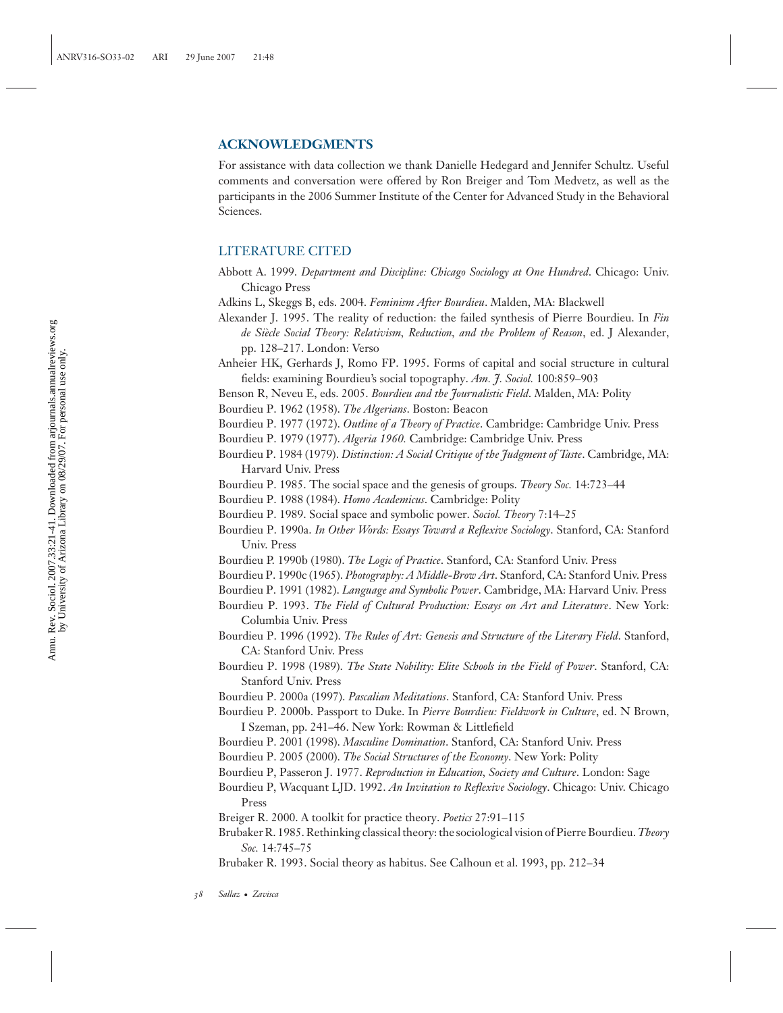#### **ACKNOWLEDGMENTS**

For assistance with data collection we thank Danielle Hedegard and Jennifer Schultz. Useful comments and conversation were offered by Ron Breiger and Tom Medvetz, as well as the participants in the 2006 Summer Institute of the Center for Advanced Study in the Behavioral Sciences.

#### LITERATURE CITED

- Abbott A. 1999. *Department and Discipline: Chicago Sociology at One Hundred*. Chicago: Univ. Chicago Press
- Adkins L, Skeggs B, eds. 2004. *Feminism After Bourdieu*. Malden, MA: Blackwell
- Alexander J. 1995. The reality of reduction: the failed synthesis of Pierre Bourdieu. In *Fin de Si`ecle Social Theory: Relativism, Reduction, and the Problem of Reason*, ed. J Alexander, pp. 128–217. London: Verso
- Anheier HK, Gerhards J, Romo FP. 1995. Forms of capital and social structure in cultural fields: examining Bourdieu's social topography. *Am. J. Sociol.* 100:859–903
- Benson R, Neveu E, eds. 2005. *Bourdieu and the Journalistic Field*. Malden, MA: Polity

Bourdieu P. 1962 (1958). *The Algerians*. Boston: Beacon

Bourdieu P. 1977 (1972). *Outline of a Theory of Practice*. Cambridge: Cambridge Univ. Press

- Bourdieu P. 1979 (1977). *Algeria 1960.* Cambridge: Cambridge Univ. Press
- Bourdieu P. 1984 (1979). *Distinction: A Social Critique of the Judgment of Taste*. Cambridge, MA: Harvard Univ. Press
- Bourdieu P. 1985. The social space and the genesis of groups. *Theory Soc.* 14:723–44
- Bourdieu P. 1988 (1984). *Homo Academicus*. Cambridge: Polity
- Bourdieu P. 1989. Social space and symbolic power. *Sociol. Theory* 7:14–25
- Bourdieu P. 1990a. *In Other Words: Essays Toward a Reflexive Sociology*. Stanford, CA: Stanford Univ. Press
- Bourdieu P. 1990b (1980). *The Logic of Practice*. Stanford, CA: Stanford Univ. Press
- Bourdieu P. 1990c (1965). *Photography: A Middle-Brow Art*. Stanford, CA: Stanford Univ. Press
- Bourdieu P. 1991 (1982). *Language and Symbolic Power*. Cambridge, MA: Harvard Univ. Press
- Bourdieu P. 1993. *The Field of Cultural Production: Essays on Art and Literature*. New York: Columbia Univ. Press
- Bourdieu P. 1996 (1992). *The Rules of Art: Genesis and Structure of the Literary Field*. Stanford, CA: Stanford Univ. Press
- Bourdieu P. 1998 (1989). *The State Nobility: Elite Schools in the Field of Power*. Stanford, CA: Stanford Univ. Press
- Bourdieu P. 2000a (1997). *Pascalian Meditations*. Stanford, CA: Stanford Univ. Press
- Bourdieu P. 2000b. Passport to Duke. In *Pierre Bourdieu: Fieldwork in Culture*, ed. N Brown, I Szeman, pp. 241–46. New York: Rowman & Littlefield
- Bourdieu P. 2001 (1998). *Masculine Domination*. Stanford, CA: Stanford Univ. Press
- Bourdieu P. 2005 (2000). *The Social Structures of the Economy*. New York: Polity
- Bourdieu P, Passeron J. 1977. *Reproduction in Education, Society and Culture*. London: Sage
- Bourdieu P, Wacquant LJD. 1992. *An Invitation to Reflexive Sociology*. Chicago: Univ. Chicago Press

Breiger R. 2000. A toolkit for practice theory. *Poetics* 27:91–115

- Brubaker R. 1985. Rethinking classical theory: the sociological vision of Pierre Bourdieu.*Theory Soc.* 14:745–75
- Brubaker R. 1993. Social theory as habitus. See Calhoun et al. 1993, pp. 212–34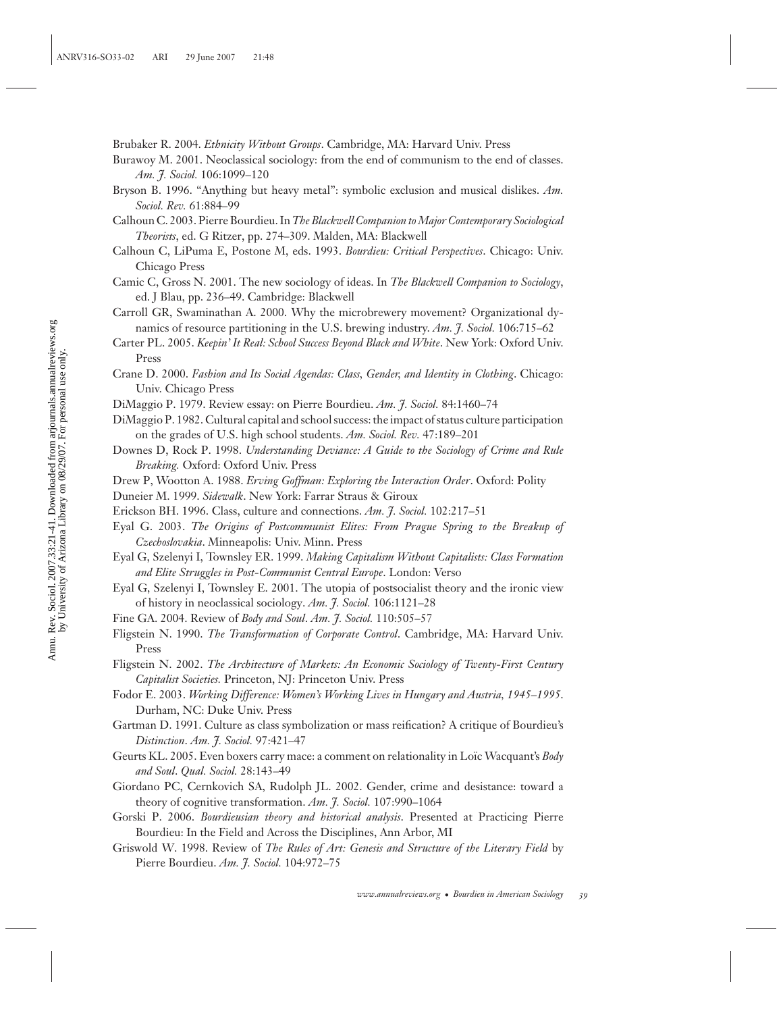- Burawoy M. 2001. Neoclassical sociology: from the end of communism to the end of classes. *Am. J. Sociol.* 106:1099–120
- Bryson B. 1996. "Anything but heavy metal": symbolic exclusion and musical dislikes. *Am. Sociol. Rev.* 61:884–99
- Calhoun C. 2003. Pierre Bourdieu. In*The Blackwell Companion to Major Contemporary Sociological Theorists*, ed. G Ritzer, pp. 274–309. Malden, MA: Blackwell
- Calhoun C, LiPuma E, Postone M, eds. 1993. *Bourdieu: Critical Perspectives*. Chicago: Univ. Chicago Press
- Camic C, Gross N. 2001. The new sociology of ideas. In *The Blackwell Companion to Sociology*, ed. J Blau, pp. 236–49. Cambridge: Blackwell
- Carroll GR, Swaminathan A. 2000. Why the microbrewery movement? Organizational dynamics of resource partitioning in the U.S. brewing industry. *Am. J. Sociol.* 106:715–62
- Carter PL. 2005. *Keepin' It Real: School Success Beyond Black and White*. New York: Oxford Univ. Press
- Crane D. 2000. *Fashion and Its Social Agendas: Class, Gender, and Identity in Clothing*. Chicago: Univ. Chicago Press
- DiMaggio P. 1979. Review essay: on Pierre Bourdieu. *Am. J. Sociol.* 84:1460–74
- DiMaggio P. 1982. Cultural capital and school success: the impact of status culture participation on the grades of U.S. high school students. *Am. Sociol. Rev.* 47:189–201
- Downes D, Rock P. 1998. *Understanding Deviance: A Guide to the Sociology of Crime and Rule Breaking.* Oxford: Oxford Univ. Press
- Drew P, Wootton A. 1988. *Erving Goffman: Exploring the Interaction Order*. Oxford: Polity
- Duneier M. 1999. *Sidewalk*. New York: Farrar Straus & Giroux
- Erickson BH. 1996. Class, culture and connections. *Am. J. Sociol.* 102:217–51
- Eyal G. 2003. *The Origins of Postcommunist Elites: From Prague Spring to the Breakup of Czechoslovakia*. Minneapolis: Univ. Minn. Press
- Eyal G, Szelenyi I, Townsley ER. 1999. *Making Capitalism Without Capitalists: Class Formation and Elite Struggles in Post-Communist Central Europe*. London: Verso
- Eyal G, Szelenyi I, Townsley E. 2001. The utopia of postsocialist theory and the ironic view of history in neoclassical sociology. *Am. J. Sociol.* 106:1121–28
- Fine GA. 2004. Review of *Body and Soul*. *Am. J. Sociol.* 110:505–57
- Fligstein N. 1990. *The Transformation of Corporate Control*. Cambridge, MA: Harvard Univ. Press
- Fligstein N. 2002. *The Architecture of Markets: An Economic Sociology of Twenty-First Century Capitalist Societies.* Princeton, NJ: Princeton Univ. Press
- Fodor E. 2003. *Working Difference: Women's Working Lives in Hungary and Austria, 1945–1995*. Durham, NC: Duke Univ. Press
- Gartman D. 1991. Culture as class symbolization or mass reification? A critique of Bourdieu's *Distinction*. *Am. J. Sociol.* 97:421–47
- Geurts KL. 2005. Even boxers carry mace: a comment on relationality in Loïc Wacquant's *Body and Soul*. *Qual. Sociol.* 28:143–49
- Giordano PC, Cernkovich SA, Rudolph JL. 2002. Gender, crime and desistance: toward a theory of cognitive transformation. *Am. J. Sociol.* 107:990–1064
- Gorski P. 2006. *Bourdieusian theory and historical analysis*. Presented at Practicing Pierre Bourdieu: In the Field and Across the Disciplines, Ann Arbor, MI
- Griswold W. 1998. Review of *The Rules of Art: Genesis and Structure of the Literary Field* by Pierre Bourdieu. *Am. J. Sociol.* 104:972–75

Brubaker R. 2004. *Ethnicity Without Groups*. Cambridge, MA: Harvard Univ. Press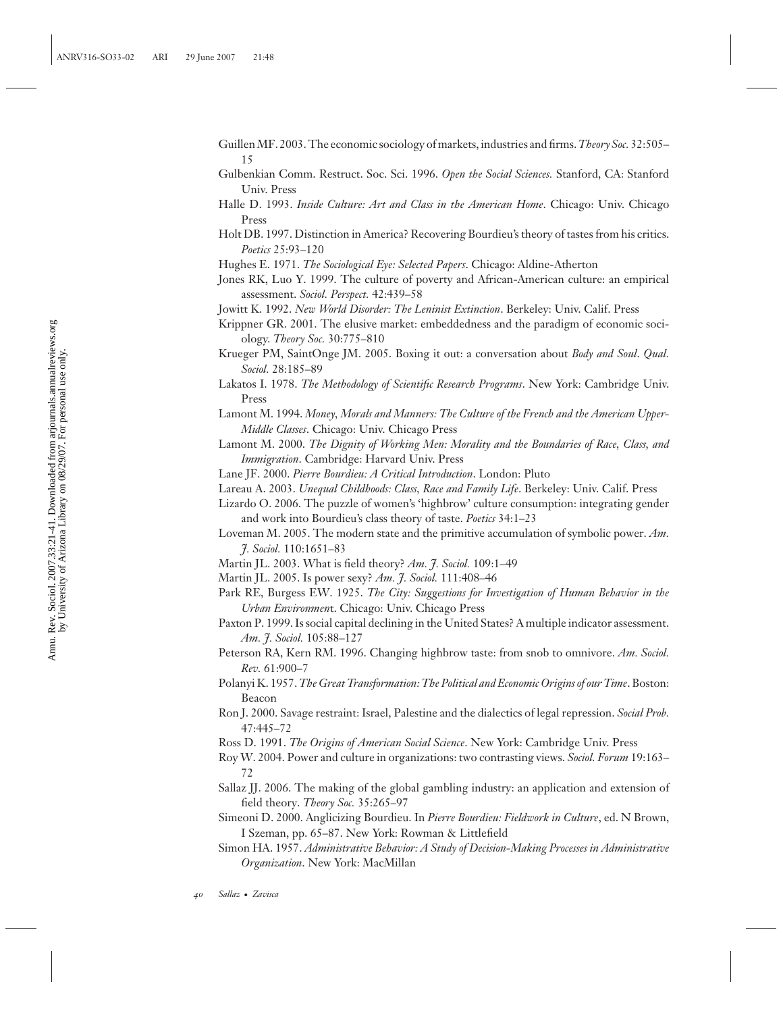- Guillen MF. 2003. The economic sociology of markets, industries and firms.*Theory Soc.* 32:505– 15
- Gulbenkian Comm. Restruct. Soc. Sci. 1996. *Open the Social Sciences.* Stanford, CA: Stanford Univ. Press
- Halle D. 1993. *Inside Culture: Art and Class in the American Home*. Chicago: Univ. Chicago Press
- Holt DB. 1997. Distinction in America? Recovering Bourdieu's theory of tastes from his critics. *Poetics* 25:93–120
- Hughes E. 1971. *The Sociological Eye: Selected Papers*. Chicago: Aldine-Atherton
- Jones RK, Luo Y. 1999. The culture of poverty and African-American culture: an empirical assessment. *Sociol. Perspect.* 42:439–58
- Jowitt K. 1992. *New World Disorder: The Leninist Extinction*. Berkeley: Univ. Calif. Press
- Krippner GR. 2001. The elusive market: embeddedness and the paradigm of economic sociology. *Theory Soc.* 30:775–810
- Krueger PM, SaintOnge JM. 2005. Boxing it out: a conversation about *Body and Soul*. *Qual. Sociol.* 28:185–89
- Lakatos I. 1978. *The Methodology of Scientific Research Programs*. New York: Cambridge Univ. Press
- Lamont M. 1994. *Money, Morals and Manners: The Culture of the French and the American Upper-Middle Classes*. Chicago: Univ. Chicago Press
- Lamont M. 2000. *The Dignity of Working Men: Morality and the Boundaries of Race, Class, and Immigration*. Cambridge: Harvard Univ. Press
- Lane JF. 2000. *Pierre Bourdieu: A Critical Introduction*. London: Pluto
- Lareau A. 2003. *Unequal Childhoods: Class, Race and Family Life*. Berkeley: Univ. Calif. Press
- Lizardo O. 2006. The puzzle of women's 'highbrow' culture consumption: integrating gender and work into Bourdieu's class theory of taste. *Poetics* 34:1–23
- Loveman M. 2005. The modern state and the primitive accumulation of symbolic power. *Am. J. Sociol.* 110:1651–83
- Martin JL. 2003. What is field theory? *Am. J. Sociol.* 109:1–49
- Martin JL. 2005. Is power sexy? *Am. J. Sociol.* 111:408–46
- Park RE, Burgess EW. 1925. *The City: Suggestions for Investigation of Human Behavior in the Urban Environmen*t. Chicago: Univ. Chicago Press
- Paxton P. 1999. Is social capital declining in the United States? A multiple indicator assessment. *Am. J. Sociol.* 105:88–127
- Peterson RA, Kern RM. 1996. Changing highbrow taste: from snob to omnivore. *Am. Sociol. Rev.* 61:900–7
- Polanyi K. 1957.*The Great Transformation: The Political and Economic Origins of our Time*. Boston: Beacon
- Ron J. 2000. Savage restraint: Israel, Palestine and the dialectics of legal repression. *Social Prob.* 47:445–72
- Ross D. 1991. *The Origins of American Social Science*. New York: Cambridge Univ. Press
- Roy W. 2004. Power and culture in organizations: two contrasting views. *Sociol. Forum* 19:163– 72
- Sallaz JJ. 2006. The making of the global gambling industry: an application and extension of field theory. *Theory Soc.* 35:265–97
- Simeoni D. 2000. Anglicizing Bourdieu. In *Pierre Bourdieu: Fieldwork in Culture*, ed. N Brown, I Szeman, pp. 65–87. New York: Rowman & Littlefield
- Simon HA. 1957. *Administrative Behavior: A Study of Decision-Making Processes in Administrative Organization*. New York: MacMillan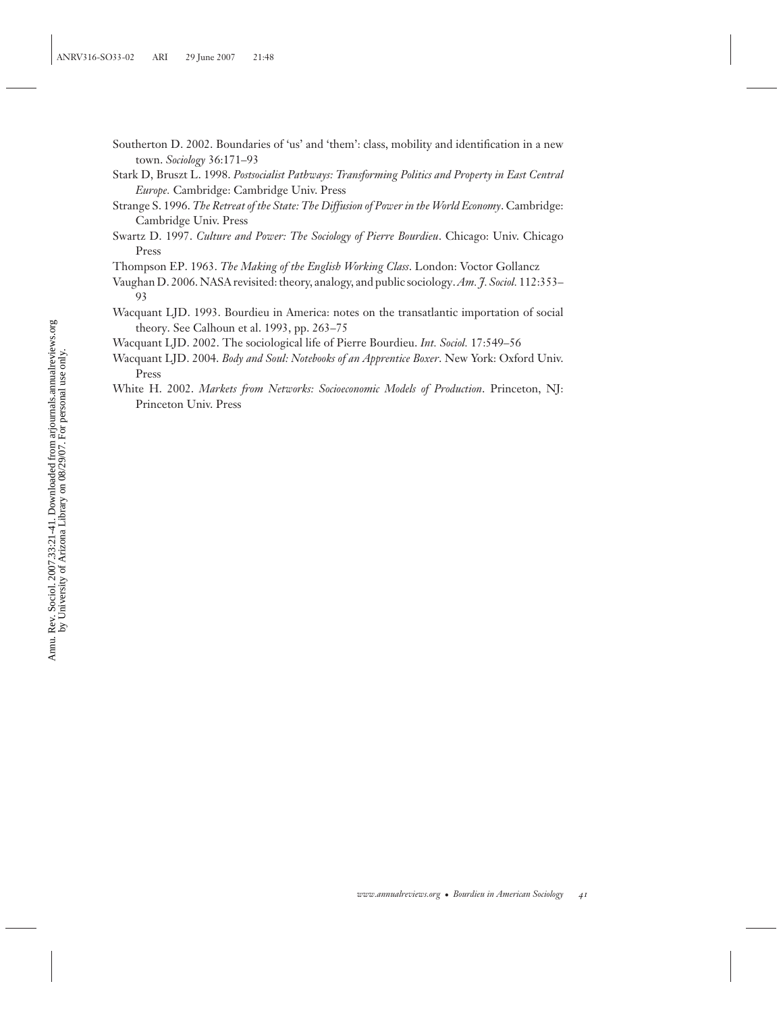- Southerton D. 2002. Boundaries of 'us' and 'them': class, mobility and identification in a new town. *Sociology* 36:171–93
- Stark D, Bruszt L. 1998. *Postsocialist Pathways: Transforming Politics and Property in East Central Europe.* Cambridge: Cambridge Univ. Press
- Strange S. 1996. *The Retreat of the State: The Diffusion of Power in the World Economy*. Cambridge: Cambridge Univ. Press
- Swartz D. 1997. *Culture and Power: The Sociology of Pierre Bourdieu*. Chicago: Univ. Chicago Press
- Thompson EP. 1963. *The Making of the English Working Class*. London: Voctor Gollancz
- Vaughan D. 2006. NASA revisited: theory, analogy, and public sociology.*Am. J. Sociol.* 112:353– 93
- Wacquant LJD. 1993. Bourdieu in America: notes on the transatlantic importation of social theory. See Calhoun et al. 1993, pp. 263–75
- Wacquant LJD. 2002. The sociological life of Pierre Bourdieu. *Int. Sociol.* 17:549–56
- Wacquant LJD. 2004. *Body and Soul: Notebooks of an Apprentice Boxer*. New York: Oxford Univ. Press
- White H. 2002. *Markets from Networks: Socioeconomic Models of Production*. Princeton, NJ: Princeton Univ. Press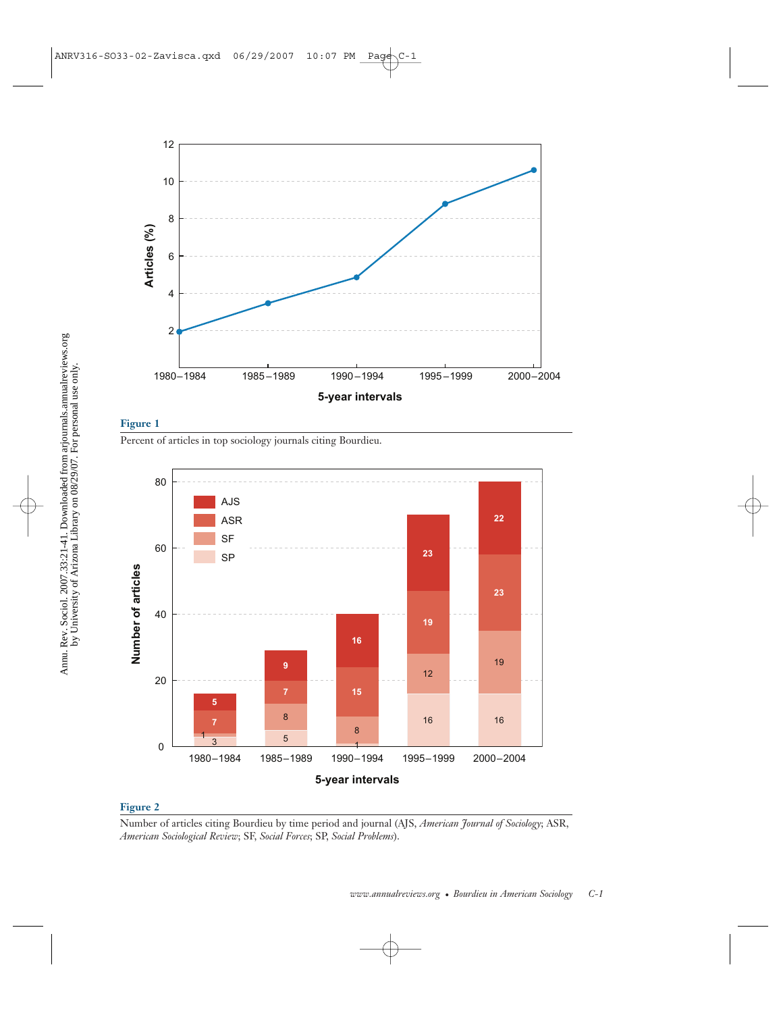

#### **Figure 1**

Percent of articles in top sociology journals citing Bourdieu.



#### **Figure 2**

Number of articles citing Bourdieu by time period and journal (AJS, *American Journal of Sociology*; ASR, *American Sociological Review*; SF, *Social Forces*; SP, *Social Problems*).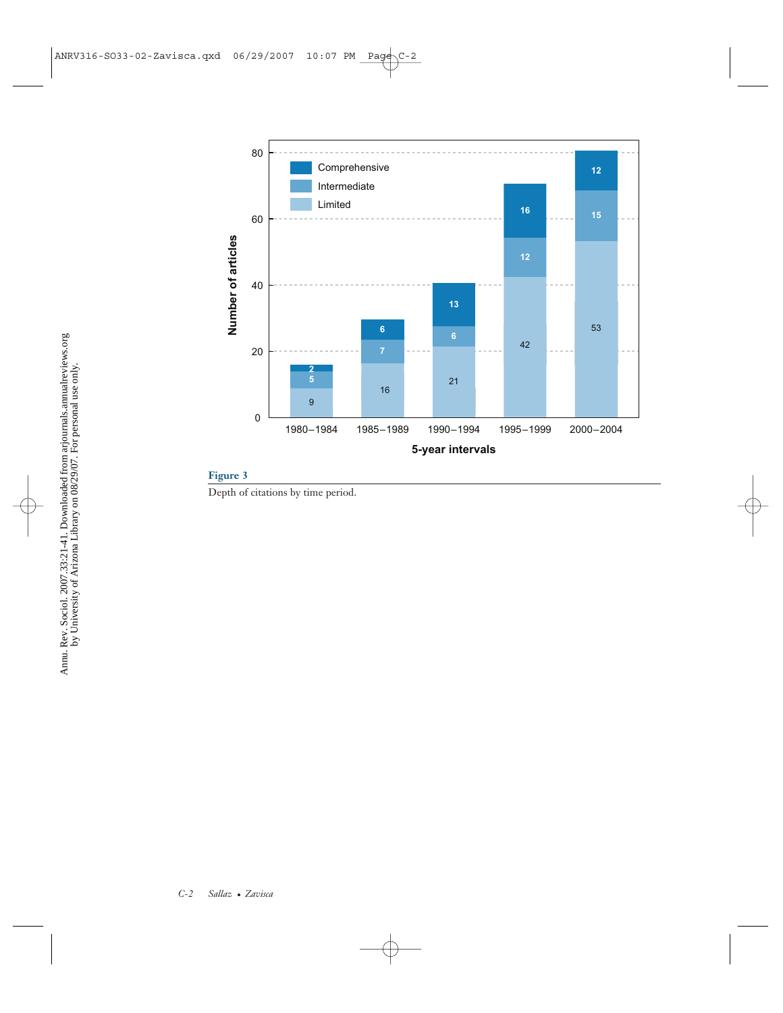

### **Figure 3**

Depth of citations by time period.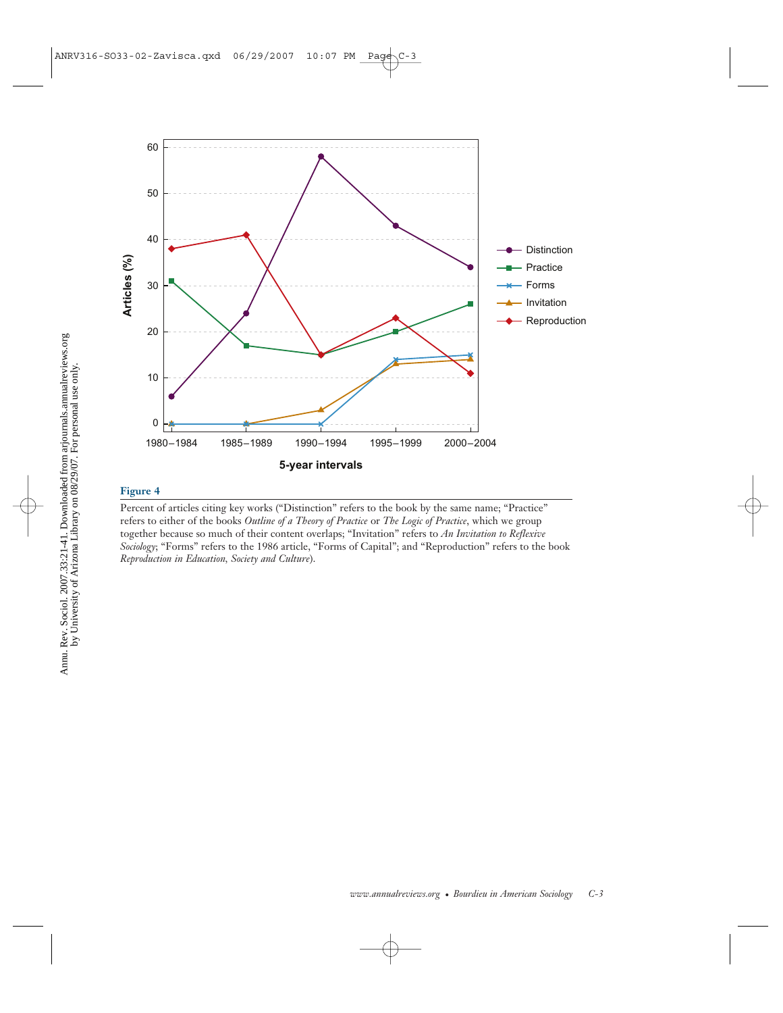

#### **Figure 4**

Percent of articles citing key works ("Distinction" refers to the book by the same name; "Practice" refers to either of the books *Outline of a Theory of Practice* or *The Logic of Practice*, which we group together because so much of their content overlaps; "Invitation" refers to *An Invitation to Reflexive Sociology*; "Forms" refers to the 1986 article, "Forms of Capital"; and "Reproduction" refers to the book *Reproduction in Education, Society and Culture*).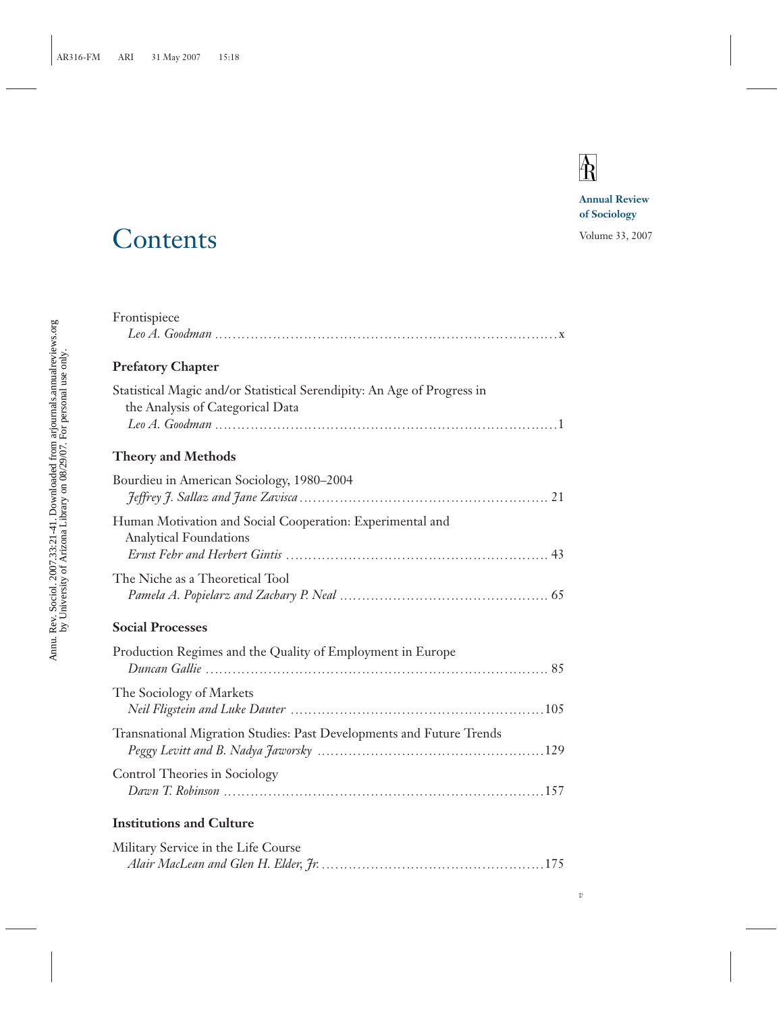# $\mathbf{\hat{R}}$

*v*

**Annual Review of Sociology**

# Contents Volume 33, 2007

| Frontispiece                                                                                                |
|-------------------------------------------------------------------------------------------------------------|
|                                                                                                             |
| <b>Prefatory Chapter</b>                                                                                    |
| Statistical Magic and/or Statistical Serendipity: An Age of Progress in<br>the Analysis of Categorical Data |
| <b>Theory and Methods</b>                                                                                   |
| Bourdieu in American Sociology, 1980-2004                                                                   |
| Human Motivation and Social Cooperation: Experimental and<br><b>Analytical Foundations</b>                  |
| The Niche as a Theoretical Tool                                                                             |
| <b>Social Processes</b>                                                                                     |
| Production Regimes and the Quality of Employment in Europe                                                  |
| The Sociology of Markets                                                                                    |
| Transnational Migration Studies: Past Developments and Future Trends                                        |
| Control Theories in Sociology                                                                               |
| <b>Institutions and Culture</b>                                                                             |
| Military Service in the Life Course                                                                         |

*Alair MacLean and Glen H. Elder, Jr.* **♣♣♣♣♣♣♣♣♣♣♣♣♣♣♣♣♣♣♣♣♣♣♣♣♣♣♣♣♣♣♣♣♣♣♣♣♣♣♣♣♣♣♣♣♣♣♣♣♣♣**175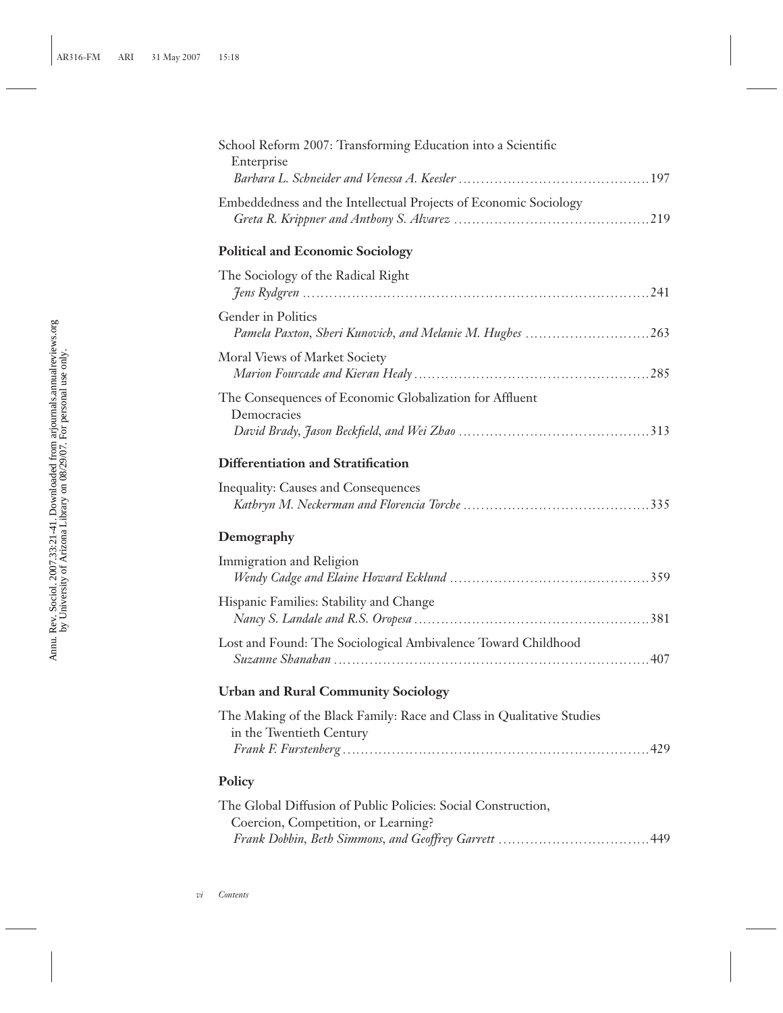| School Reform 2007: Transforming Education into a Scientific<br>Enterprise                        |
|---------------------------------------------------------------------------------------------------|
|                                                                                                   |
| Embeddedness and the Intellectual Projects of Economic Sociology                                  |
| <b>Political and Economic Sociology</b>                                                           |
| The Sociology of the Radical Right                                                                |
| <b>Gender</b> in Politics<br>Pamela Paxton, Sheri Kunovich, and Melanie M. Hughes 263             |
| Moral Views of Market Society                                                                     |
| The Consequences of Economic Globalization for Affluent<br>Democracies                            |
|                                                                                                   |
| Differentiation and Stratification                                                                |
| Inequality: Causes and Consequences                                                               |
| Demography                                                                                        |
| Immigration and Religion                                                                          |
| Hispanic Families: Stability and Change                                                           |
| Lost and Found: The Sociological Ambivalence Toward Childhood                                     |
| <b>Urban and Rural Community Sociology</b>                                                        |
| The Making of the Black Family: Race and Class in Qualitative Studies<br>in the Twentieth Century |
| Policy                                                                                            |
| The Global Diffusion of Public Policies: Social Construction,                                     |
| Coercion, Competition, or Learning?                                                               |
|                                                                                                   |